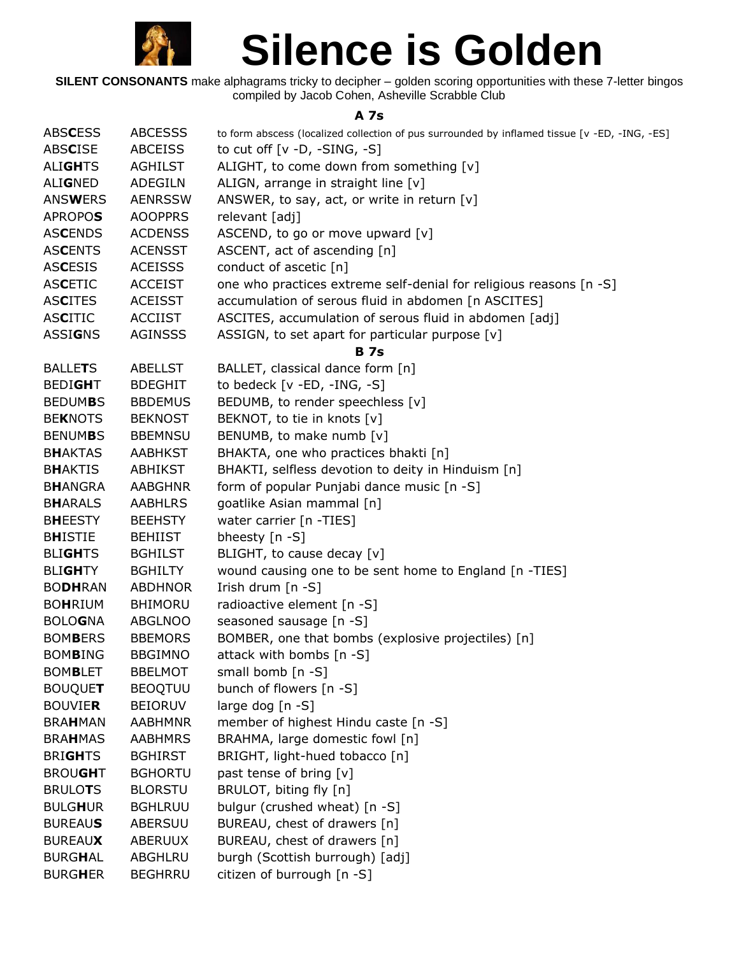

**SILENT CONSONANTS** make alphagrams tricky to decipher – golden scoring opportunities with these 7-letter bingos compiled by Jacob Cohen, Asheville Scrabble Club

## **A 7s**

| <b>ABSCESS</b> | <b>ABCESSS</b> | to form abscess (localized collection of pus surrounded by inflamed tissue [v -ED, -ING, -ES] |
|----------------|----------------|-----------------------------------------------------------------------------------------------|
| <b>ABSCISE</b> | <b>ABCEISS</b> | to cut off $[v -D, -SING, -S]$                                                                |
| <b>ALIGHTS</b> | <b>AGHILST</b> | ALIGHT, to come down from something [v]                                                       |
| <b>ALIGNED</b> | <b>ADEGILN</b> | ALIGN, arrange in straight line [v]                                                           |
| <b>ANSWERS</b> | <b>AENRSSW</b> | ANSWER, to say, act, or write in return [v]                                                   |
| <b>APROPOS</b> | <b>AOOPPRS</b> | relevant [adj]                                                                                |
| <b>ASCENDS</b> | <b>ACDENSS</b> | ASCEND, to go or move upward [v]                                                              |
| <b>ASCENTS</b> | <b>ACENSST</b> | ASCENT, act of ascending [n]                                                                  |
| <b>ASCESIS</b> | <b>ACEISSS</b> | conduct of ascetic [n]                                                                        |
| <b>ASCETIC</b> | <b>ACCEIST</b> | one who practices extreme self-denial for religious reasons [n -S]                            |
| <b>ASCITES</b> | <b>ACEISST</b> | accumulation of serous fluid in abdomen [n ASCITES]                                           |
| <b>ASCITIC</b> | <b>ACCIIST</b> | ASCITES, accumulation of serous fluid in abdomen [adj]                                        |
| <b>ASSIGNS</b> | <b>AGINSSS</b> | ASSIGN, to set apart for particular purpose [v]                                               |
|                |                | <b>B</b> 7s                                                                                   |
| <b>BALLETS</b> | <b>ABELLST</b> | BALLET, classical dance form [n]                                                              |
| <b>BEDIGHT</b> | <b>BDEGHIT</b> | to bedeck $[v - ED, -ING, -S]$                                                                |
| <b>BEDUMBS</b> | <b>BBDEMUS</b> | BEDUMB, to render speechless [v]                                                              |
| <b>BEKNOTS</b> | <b>BEKNOST</b> | BEKNOT, to tie in knots [v]                                                                   |
| <b>BENUMBS</b> | <b>BBEMNSU</b> | BENUMB, to make numb [v]                                                                      |
| <b>BHAKTAS</b> | <b>AABHKST</b> | BHAKTA, one who practices bhakti [n]                                                          |
| <b>BHAKTIS</b> | <b>ABHIKST</b> | BHAKTI, selfless devotion to deity in Hinduism [n]                                            |
| <b>BHANGRA</b> | <b>AABGHNR</b> | form of popular Punjabi dance music [n -S]                                                    |
| <b>BHARALS</b> | <b>AABHLRS</b> | goatlike Asian mammal [n]                                                                     |
| <b>BHEESTY</b> | <b>BEEHSTY</b> | water carrier [n -TIES]                                                                       |
| <b>BHISTIE</b> | <b>BEHIIST</b> | bheesty [n -S]                                                                                |
| <b>BLIGHTS</b> | <b>BGHILST</b> | BLIGHT, to cause decay [v]                                                                    |
| <b>BLIGHTY</b> | <b>BGHILTY</b> | wound causing one to be sent home to England [n -TIES]                                        |
| <b>BODHRAN</b> | <b>ABDHNOR</b> | Irish drum [n -S]                                                                             |
| <b>BOHRIUM</b> | <b>BHIMORU</b> | radioactive element [n -S]                                                                    |
| <b>BOLOGNA</b> | <b>ABGLNOO</b> | seasoned sausage [n -S]                                                                       |
| <b>BOMBERS</b> | <b>BBEMORS</b> | BOMBER, one that bombs (explosive projectiles) [n]                                            |
| <b>BOMBING</b> | <b>BBGIMNO</b> | attack with bombs [n -S]                                                                      |
| <b>BOMBLET</b> | <b>BBELMOT</b> | small bomb [n -S]                                                                             |
| <b>BOUQUET</b> | <b>BEOQTUU</b> | bunch of flowers [n -S]                                                                       |
| <b>BOUVIER</b> | <b>BEIORUV</b> | large dog [n -S]                                                                              |
| <b>BRAHMAN</b> | <b>AABHMNR</b> | member of highest Hindu caste [n -S]                                                          |
| <b>BRAHMAS</b> | <b>AABHMRS</b> | BRAHMA, large domestic fowl [n]                                                               |
| <b>BRIGHTS</b> | <b>BGHIRST</b> | BRIGHT, light-hued tobacco [n]                                                                |
| <b>BROUGHT</b> | <b>BGHORTU</b> | past tense of bring [v]                                                                       |
| <b>BRULOTS</b> | <b>BLORSTU</b> | BRULOT, biting fly [n]                                                                        |
| <b>BULGHUR</b> | <b>BGHLRUU</b> | bulgur (crushed wheat) [n -S]                                                                 |
| <b>BUREAUS</b> | ABERSUU        | BUREAU, chest of drawers [n]                                                                  |
| <b>BUREAUX</b> | ABERUUX        | BUREAU, chest of drawers [n]                                                                  |
| <b>BURGHAL</b> | ABGHLRU        | burgh (Scottish burrough) [adj]                                                               |
| <b>BURGHER</b> | <b>BEGHRRU</b> | citizen of burrough [n -S]                                                                    |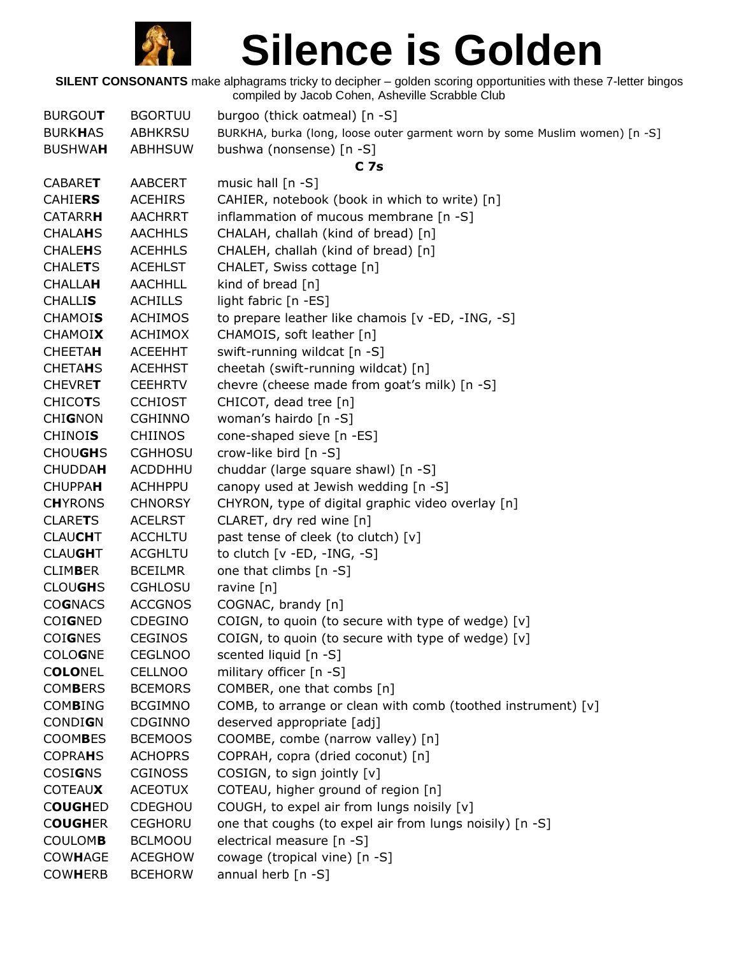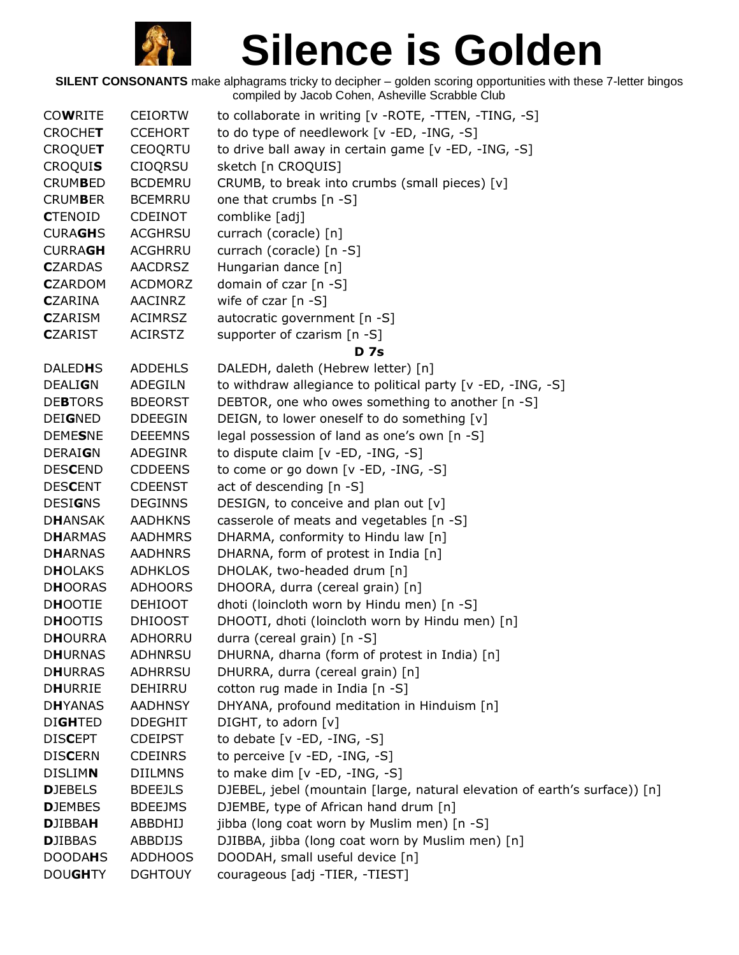

| <b>COWRITE</b>  | <b>CEIORTW</b> | to collaborate in writing [v - ROTE, -TTEN, -TING, -S]                     |
|-----------------|----------------|----------------------------------------------------------------------------|
| <b>CROCHET</b>  | <b>CCEHORT</b> | to do type of needlework [v -ED, -ING, -S]                                 |
| <b>CROQUET</b>  | <b>CEOQRTU</b> | to drive ball away in certain game [v -ED, -ING, -S]                       |
| <b>CROQUIS</b>  | <b>CIOQRSU</b> | sketch [n CROQUIS]                                                         |
| <b>CRUMBED</b>  | <b>BCDEMRU</b> | CRUMB, to break into crumbs (small pieces) [v]                             |
| <b>CRUMBER</b>  | <b>BCEMRRU</b> | one that crumbs [n -S]                                                     |
| <b>CTENOID</b>  | <b>CDEINOT</b> | comblike [adj]                                                             |
| <b>CURAGHS</b>  | <b>ACGHRSU</b> | currach (coracle) [n]                                                      |
| <b>CURRAGH</b>  | <b>ACGHRRU</b> | currach (coracle) [n -S]                                                   |
| <b>C</b> ZARDAS | <b>AACDRSZ</b> | Hungarian dance [n]                                                        |
| <b>C</b> ZARDOM | <b>ACDMORZ</b> | domain of czar [n -S]                                                      |
| <b>C</b> ZARINA | <b>AACINRZ</b> | wife of czar $[n -S]$                                                      |
| <b>C</b> ZARISM | <b>ACIMRSZ</b> | autocratic government [n -S]                                               |
| <b>C</b> ZARIST | <b>ACIRSTZ</b> | supporter of czarism [n -S]                                                |
|                 |                | <b>D</b> 7s                                                                |
| <b>DALEDHS</b>  | <b>ADDEHLS</b> | DALEDH, daleth (Hebrew letter) [n]                                         |
| <b>DEALIGN</b>  | ADEGILN        | to withdraw allegiance to political party [v -ED, -ING, -S]                |
| <b>DEBTORS</b>  | <b>BDEORST</b> | DEBTOR, one who owes something to another [n -S]                           |
| <b>DEIGNED</b>  | <b>DDEEGIN</b> | DEIGN, to lower oneself to do something [v]                                |
| <b>DEMESNE</b>  | <b>DEEEMNS</b> | legal possession of land as one's own [n -S]                               |
| <b>DERAIGN</b>  | ADEGINR        | to dispute claim [v -ED, -ING, -S]                                         |
| <b>DESCEND</b>  | <b>CDDEENS</b> | to come or go down [v -ED, -ING, -S]                                       |
| <b>DESCENT</b>  | <b>CDEENST</b> | act of descending [n -S]                                                   |
| <b>DESIGNS</b>  | <b>DEGINNS</b> | DESIGN, to conceive and plan out [v]                                       |
| <b>DHANSAK</b>  | <b>AADHKNS</b> | casserole of meats and vegetables [n -S]                                   |
| <b>DHARMAS</b>  | <b>AADHMRS</b> | DHARMA, conformity to Hindu law [n]                                        |
| <b>DHARNAS</b>  | <b>AADHNRS</b> | DHARNA, form of protest in India [n]                                       |
| <b>DHOLAKS</b>  | <b>ADHKLOS</b> | DHOLAK, two-headed drum [n]                                                |
| <b>DHOORAS</b>  | <b>ADHOORS</b> | DHOORA, durra (cereal grain) [n]                                           |
| <b>DHOOTIE</b>  | <b>DEHIOOT</b> | dhoti (loincloth worn by Hindu men) [n -S]                                 |
| <b>DHOOTIS</b>  | <b>DHIOOST</b> | DHOOTI, dhoti (loincloth worn by Hindu men) [n]                            |
| <b>DHOURRA</b>  | ADHORRU        | durra (cereal grain) [n -S]                                                |
| <b>DHURNAS</b>  | <b>ADHNRSU</b> | DHURNA, dharna (form of protest in India) [n]                              |
| <b>DHURRAS</b>  | <b>ADHRRSU</b> | DHURRA, durra (cereal grain) [n]                                           |
| <b>DHURRIE</b>  | DEHIRRU        | cotton rug made in India [n -S]                                            |
| <b>DHYANAS</b>  | <b>AADHNSY</b> | DHYANA, profound meditation in Hinduism [n]                                |
| <b>DIGHTED</b>  | <b>DDEGHIT</b> | DIGHT, to adorn [v]                                                        |
| <b>DISCEPT</b>  | <b>CDEIPST</b> | to debate $[v - ED, -ING, -S]$                                             |
| <b>DISCERN</b>  | <b>CDEINRS</b> | to perceive [v -ED, -ING, -S]                                              |
| <b>DISLIMN</b>  | <b>DIILMNS</b> | to make dim [v -ED, -ING, -S]                                              |
| <b>DJEBELS</b>  | <b>BDEEJLS</b> | DJEBEL, jebel (mountain [large, natural elevation of earth's surface)) [n] |
| <b>DJEMBES</b>  | <b>BDEEJMS</b> | DJEMBE, type of African hand drum [n]                                      |
| <b>DJIBBAH</b>  | ABBDHIJ        | jibba (long coat worn by Muslim men) [n -S]                                |
| <b>DJIBBAS</b>  | <b>ABBDIJS</b> | DJIBBA, jibba (long coat worn by Muslim men) [n]                           |
| <b>DOODAHS</b>  | <b>ADDHOOS</b> | DOODAH, small useful device [n]                                            |
| <b>DOUGHTY</b>  | <b>DGHTOUY</b> | courageous [adj -TIER, -TIEST]                                             |
|                 |                |                                                                            |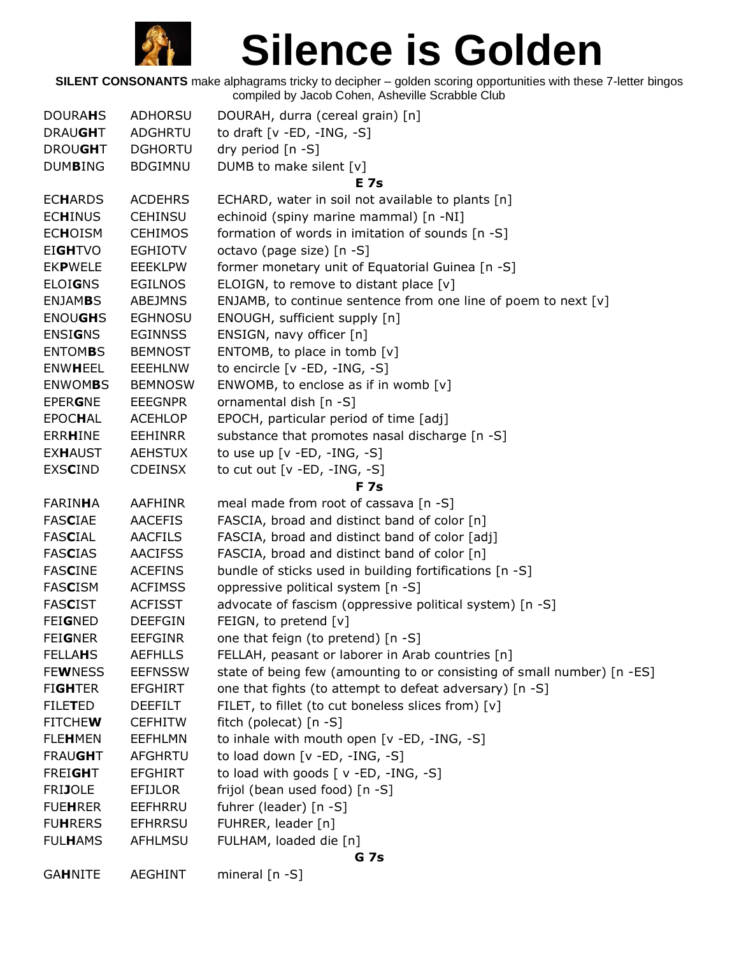

| <b>DOURAHS</b> | ADHORSU        | DOURAH, durra (cereal grain) [n]                                        |  |  |
|----------------|----------------|-------------------------------------------------------------------------|--|--|
| <b>DRAUGHT</b> | <b>ADGHRTU</b> | to draft [v -ED, -ING, -S]                                              |  |  |
| <b>DROUGHT</b> | <b>DGHORTU</b> | dry period [n -S]                                                       |  |  |
| <b>DUMBING</b> | <b>BDGIMNU</b> | DUMB to make silent [v]                                                 |  |  |
|                |                | <b>E</b> 7s                                                             |  |  |
| <b>ECHARDS</b> | <b>ACDEHRS</b> | ECHARD, water in soil not available to plants [n]                       |  |  |
| <b>ECHINUS</b> | <b>CEHINSU</b> | echinoid (spiny marine mammal) [n -NI]                                  |  |  |
| <b>ECHOISM</b> | <b>CEHIMOS</b> | formation of words in imitation of sounds [n -S]                        |  |  |
| <b>EIGHTVO</b> | <b>EGHIOTV</b> | octavo (page size) [n -S]                                               |  |  |
| <b>EKPWELE</b> | <b>EEEKLPW</b> | former monetary unit of Equatorial Guinea [n -S]                        |  |  |
| <b>ELOIGNS</b> | <b>EGILNOS</b> | ELOIGN, to remove to distant place [v]                                  |  |  |
| <b>ENJAMBS</b> | <b>ABEJMNS</b> | ENJAMB, to continue sentence from one line of poem to next [v]          |  |  |
| <b>ENOUGHS</b> | <b>EGHNOSU</b> | ENOUGH, sufficient supply [n]                                           |  |  |
| <b>ENSIGNS</b> | <b>EGINNSS</b> | ENSIGN, navy officer [n]                                                |  |  |
| <b>ENTOMBS</b> | <b>BEMNOST</b> | ENTOMB, to place in tomb [v]                                            |  |  |
| <b>ENWHEEL</b> | <b>EEEHLNW</b> | to encircle $[v - ED, -ING, -S]$                                        |  |  |
| <b>ENWOMBS</b> | <b>BEMNOSW</b> | ENWOMB, to enclose as if in womb $[v]$                                  |  |  |
| <b>EPERGNE</b> | <b>EEEGNPR</b> | ornamental dish [n -S]                                                  |  |  |
| <b>EPOCHAL</b> | <b>ACEHLOP</b> | EPOCH, particular period of time [adj]                                  |  |  |
| <b>ERRHINE</b> | <b>EEHINRR</b> | substance that promotes nasal discharge [n -S]                          |  |  |
| <b>EXHAUST</b> | <b>AEHSTUX</b> | to use up $[v - ED, -ING, -S]$                                          |  |  |
| <b>EXSCIND</b> | <b>CDEINSX</b> | to cut out $[v - ED, -ING, -S]$                                         |  |  |
|                |                | <b>F</b> 7s                                                             |  |  |
| FARINHA        | <b>AAFHINR</b> | meal made from root of cassava [n -S]                                   |  |  |
| <b>FASCIAE</b> | <b>AACEFIS</b> | FASCIA, broad and distinct band of color [n]                            |  |  |
| <b>FASCIAL</b> | <b>AACFILS</b> | FASCIA, broad and distinct band of color [adj]                          |  |  |
| <b>FASCIAS</b> | <b>AACIFSS</b> | FASCIA, broad and distinct band of color [n]                            |  |  |
| <b>FASCINE</b> | <b>ACEFINS</b> | bundle of sticks used in building fortifications [n -S]                 |  |  |
| <b>FASCISM</b> | <b>ACFIMSS</b> | oppressive political system [n -S]                                      |  |  |
| <b>FASCIST</b> | <b>ACFISST</b> | advocate of fascism (oppressive political system) [n -S]                |  |  |
| <b>FEIGNED</b> | <b>DEEFGIN</b> | FEIGN, to pretend [v]                                                   |  |  |
| <b>FEIGNER</b> | <b>EEFGINR</b> | one that feign (to pretend) [n -S]                                      |  |  |
| <b>FELLAHS</b> | <b>AEFHLLS</b> | FELLAH, peasant or laborer in Arab countries [n]                        |  |  |
| <b>FEWNESS</b> | <b>EEFNSSW</b> | state of being few (amounting to or consisting of small number) [n -ES] |  |  |
| <b>FIGHTER</b> | <b>EFGHIRT</b> | one that fights (to attempt to defeat adversary) [n -S]                 |  |  |
| <b>FILETED</b> | <b>DEEFILT</b> | FILET, to fillet (to cut boneless slices from) [v]                      |  |  |
| <b>FITCHEW</b> | <b>CEFHITW</b> | fitch (polecat) [n -S]                                                  |  |  |
| <b>FLEHMEN</b> | <b>EEFHLMN</b> | to inhale with mouth open [v -ED, -ING, -S]                             |  |  |
| <b>FRAUGHT</b> | AFGHRTU        | to load down [v -ED, -ING, -S]                                          |  |  |
| <b>FREIGHT</b> | <b>EFGHIRT</b> | to load with goods $\lceil v - ED, -ING, -S \rceil$                     |  |  |
| <b>FRIJOLE</b> | EFIJLOR        | frijol (bean used food) [n -S]                                          |  |  |
| <b>FUEHRER</b> | EEFHRRU        | fuhrer (leader) [n -S]                                                  |  |  |
| <b>FUHRERS</b> | <b>EFHRRSU</b> | FUHRER, leader [n]                                                      |  |  |
| <b>FULHAMS</b> | AFHLMSU        | FULHAM, loaded die [n]                                                  |  |  |
|                | <b>G</b> 7s    |                                                                         |  |  |
| <b>GAHNITE</b> | <b>AEGHINT</b> | mineral $[n - S]$                                                       |  |  |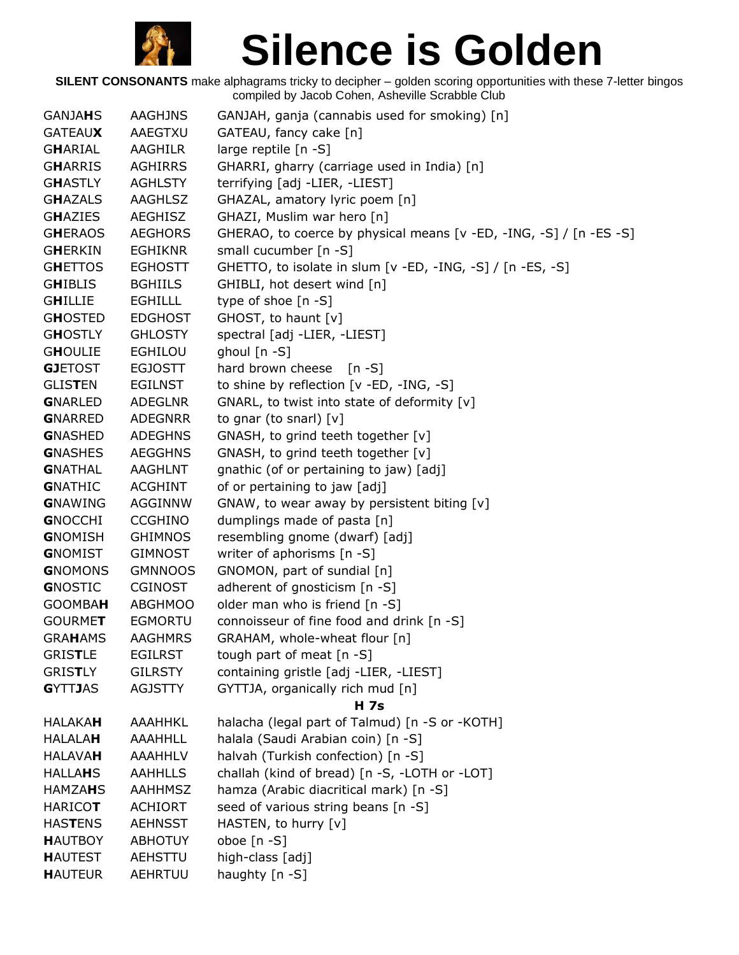

| <b>GANJAHS</b> | <b>AAGHJNS</b> | GANJAH, ganja (cannabis used for smoking) [n]                      |
|----------------|----------------|--------------------------------------------------------------------|
| <b>GATEAUX</b> | AAEGTXU        | GATEAU, fancy cake [n]                                             |
| GHARIAL        | AAGHILR        | large reptile [n -S]                                               |
| <b>GHARRIS</b> | <b>AGHIRRS</b> | GHARRI, gharry (carriage used in India) [n]                        |
| <b>GHASTLY</b> | <b>AGHLSTY</b> | terrifying [adj -LIER, -LIEST]                                     |
| <b>GHAZALS</b> | AAGHLSZ        | GHAZAL, amatory lyric poem [n]                                     |
| <b>GHAZIES</b> | <b>AEGHISZ</b> | GHAZI, Muslim war hero [n]                                         |
| <b>GHERAOS</b> | <b>AEGHORS</b> | GHERAO, to coerce by physical means [v -ED, -ING, -S] / [n -ES -S] |
| <b>GHERKIN</b> | <b>EGHIKNR</b> | small cucumber [n -S]                                              |
| <b>GHETTOS</b> | <b>EGHOSTT</b> | GHETTO, to isolate in slum [v -ED, -ING, -S] / [n -ES, -S]         |
| <b>GHIBLIS</b> | <b>BGHIILS</b> | GHIBLI, hot desert wind [n]                                        |
| <b>GHILLIE</b> | <b>EGHILLL</b> | type of shoe [n -S]                                                |
| <b>GHOSTED</b> | <b>EDGHOST</b> | GHOST, to haunt [v]                                                |
| <b>GHOSTLY</b> | <b>GHLOSTY</b> | spectral [adj -LIER, -LIEST]                                       |
| <b>GHOULIE</b> | <b>EGHILOU</b> | ghoul [n -S]                                                       |
| <b>GJETOST</b> | <b>EGJOSTT</b> | hard brown cheese<br>$[n - S]$                                     |
| <b>GLISTEN</b> | <b>EGILNST</b> | to shine by reflection [v -ED, -ING, -S]                           |
| <b>GNARLED</b> | <b>ADEGLNR</b> | GNARL, to twist into state of deformity [v]                        |
| <b>GNARRED</b> | <b>ADEGNRR</b> | to gnar (to snarl) $[v]$                                           |
| <b>GNASHED</b> | <b>ADEGHNS</b> | GNASH, to grind teeth together [v]                                 |
| <b>GNASHES</b> | <b>AEGGHNS</b> | GNASH, to grind teeth together [v]                                 |
| <b>GNATHAL</b> | <b>AAGHLNT</b> | gnathic (of or pertaining to jaw) [adj]                            |
| <b>GNATHIC</b> | <b>ACGHINT</b> | of or pertaining to jaw [adj]                                      |
| <b>GNAWING</b> | AGGINNW        | GNAW, to wear away by persistent biting [v]                        |
| <b>GNOCCHI</b> | <b>CCGHINO</b> | dumplings made of pasta [n]                                        |
| <b>GNOMISH</b> | <b>GHIMNOS</b> | resembling gnome (dwarf) [adj]                                     |
| <b>GNOMIST</b> | <b>GIMNOST</b> | writer of aphorisms [n -S]                                         |
| <b>GNOMONS</b> | <b>GMNNOOS</b> | GNOMON, part of sundial [n]                                        |
| <b>GNOSTIC</b> | <b>CGINOST</b> | adherent of gnosticism [n -S]                                      |
| <b>GOOMBAH</b> | <b>ABGHMOO</b> | older man who is friend [n -S]                                     |
| <b>GOURMET</b> | <b>EGMORTU</b> | connoisseur of fine food and drink [n -S]                          |
| <b>GRAHAMS</b> | <b>AAGHMRS</b> | GRAHAM, whole-wheat flour [n]                                      |
| <b>GRISTLE</b> | <b>EGILRST</b> | tough part of meat $[n - S]$                                       |
| <b>GRISTLY</b> | <b>GILRSTY</b> | containing gristle [adj -LIER, -LIEST]                             |
| <b>GYTTJAS</b> | <b>AGJSTTY</b> | GYTTJA, organically rich mud [n]                                   |
|                |                | <b>H</b> 7s                                                        |
| <b>HALAKAH</b> | AAAHHKL        | halacha (legal part of Talmud) [n -S or -KOTH]                     |
| <b>HALALAH</b> | <b>AAAHHLL</b> | halala (Saudi Arabian coin) [n -S]                                 |
| <b>HALAVAH</b> | <b>AAAHHLV</b> | halvah (Turkish confection) [n -S]                                 |
| <b>HALLAHS</b> | <b>AAHHLLS</b> | challah (kind of bread) [n -S, -LOTH or -LOT]                      |
| <b>HAMZAHS</b> | <b>AAHHMSZ</b> | hamza (Arabic diacritical mark) [n -S]                             |
| <b>HARICOT</b> | <b>ACHIORT</b> | seed of various string beans [n -S]                                |
| <b>HASTENS</b> | <b>AEHNSST</b> | HASTEN, to hurry [v]                                               |
| <b>HAUTBOY</b> | <b>ABHOTUY</b> | oboe $[n - S]$                                                     |
| <b>HAUTEST</b> | AEHSTTU        | high-class [adj]                                                   |
| <b>HAUTEUR</b> | AEHRTUU        | haughty [n -S]                                                     |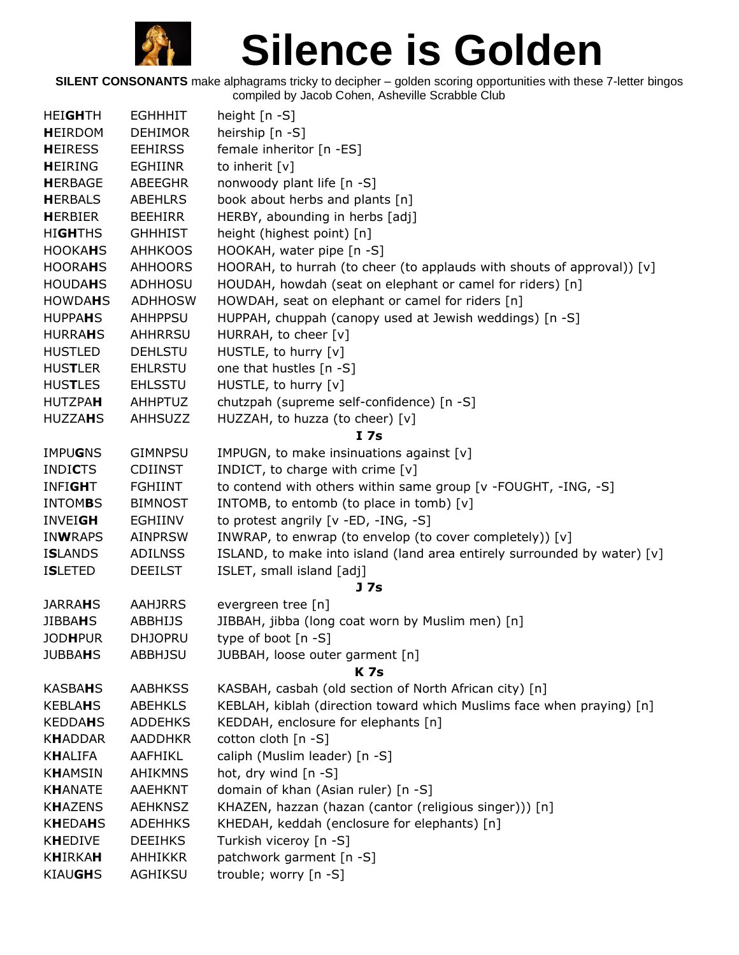

| <b>HEIGHTH</b> | <b>EGHHHIT</b> | height $[n - S]$                                                         |
|----------------|----------------|--------------------------------------------------------------------------|
| <b>HEIRDOM</b> | <b>DEHIMOR</b> | heirship [n -S]                                                          |
| <b>HEIRESS</b> | <b>EEHIRSS</b> | female inheritor [n -ES]                                                 |
| <b>HEIRING</b> | <b>EGHIINR</b> | to inherit [v]                                                           |
| <b>HERBAGE</b> | <b>ABEEGHR</b> | nonwoody plant life [n -S]                                               |
| <b>HERBALS</b> | <b>ABEHLRS</b> | book about herbs and plants [n]                                          |
| <b>HERBIER</b> | <b>BEEHIRR</b> | HERBY, abounding in herbs [adj]                                          |
| <b>HIGHTHS</b> | <b>GHHHIST</b> | height (highest point) [n]                                               |
| <b>HOOKAHS</b> | <b>AHHKOOS</b> | HOOKAH, water pipe [n -S]                                                |
| <b>HOORAHS</b> | <b>AHHOORS</b> | HOORAH, to hurrah (to cheer (to applauds with shouts of approval)) $[v]$ |
| <b>HOUDAHS</b> | <b>ADHHOSU</b> | HOUDAH, howdah (seat on elephant or camel for riders) [n]                |
| <b>HOWDAHS</b> | <b>ADHHOSW</b> | HOWDAH, seat on elephant or camel for riders [n]                         |
| <b>HUPPAHS</b> | <b>AHHPPSU</b> | HUPPAH, chuppah (canopy used at Jewish weddings) [n -S]                  |
| <b>HURRAHS</b> | <b>AHHRRSU</b> | HURRAH, to cheer [v]                                                     |
| <b>HUSTLED</b> | <b>DEHLSTU</b> | HUSTLE, to hurry [v]                                                     |
| <b>HUSTLER</b> | <b>EHLRSTU</b> | one that hustles [n -S]                                                  |
| <b>HUSTLES</b> | <b>EHLSSTU</b> | HUSTLE, to hurry [v]                                                     |
| <b>HUTZPAH</b> | <b>AHHPTUZ</b> | chutzpah (supreme self-confidence) [n -S]                                |
| <b>HUZZAHS</b> | <b>AHHSUZZ</b> | HUZZAH, to huzza (to cheer) [v]                                          |
|                |                | I <sub>7s</sub>                                                          |
| <b>IMPUGNS</b> | <b>GIMNPSU</b> | IMPUGN, to make insinuations against [v]                                 |
| <b>INDICTS</b> | <b>CDIINST</b> | INDICT, to charge with crime $[v]$                                       |
| <b>INFIGHT</b> | <b>FGHIINT</b> | to contend with others within same group [v -FOUGHT, -ING, -S]           |
| <b>INTOMBS</b> | <b>BIMNOST</b> | INTOMB, to entomb (to place in tomb) [v]                                 |
| <b>INVEIGH</b> | <b>EGHIINV</b> | to protest angrily [v -ED, -ING, -S]                                     |
| <b>INWRAPS</b> | <b>AINPRSW</b> | INWRAP, to enwrap (to envelop (to cover completely)) [v]                 |
| <b>ISLANDS</b> | <b>ADILNSS</b> | ISLAND, to make into island (land area entirely surrounded by water) [v] |
| <b>ISLETED</b> | <b>DEEILST</b> | ISLET, small island [adj]                                                |
|                |                | J 7s                                                                     |
| <b>JARRAHS</b> | <b>AAHJRRS</b> | evergreen tree [n]                                                       |
| <b>JIBBAHS</b> | <b>ABBHIJS</b> | JIBBAH, jibba (long coat worn by Muslim men) [n]                         |
| <b>JODHPUR</b> | <b>DHJOPRU</b> | type of boot $[n - S]$                                                   |
| <b>JUBBAHS</b> | <b>ABBHJSU</b> | JUBBAH, loose outer garment [n]                                          |
|                |                | <b>K7s</b>                                                               |
| <b>KASBAHS</b> | <b>AABHKSS</b> | KASBAH, casbah (old section of North African city) [n]                   |
| <b>KEBLAHS</b> | <b>ABEHKLS</b> | KEBLAH, kiblah (direction toward which Muslims face when praying) [n]    |
| <b>KEDDAHS</b> | <b>ADDEHKS</b> | KEDDAH, enclosure for elephants [n]                                      |
| <b>KHADDAR</b> | <b>AADDHKR</b> | cotton cloth [n -S]                                                      |
| <b>KHALIFA</b> | AAFHIKL        | caliph (Muslim leader) [n -S]                                            |
| <b>KHAMSIN</b> | <b>AHIKMNS</b> | hot, dry wind [n -S]                                                     |
| <b>KHANATE</b> | <b>AAEHKNT</b> | domain of khan (Asian ruler) [n -S]                                      |
| <b>KHAZENS</b> | <b>AEHKNSZ</b> | KHAZEN, hazzan (hazan (cantor (religious singer))) [n]                   |
| <b>KHEDAHS</b> | <b>ADEHHKS</b> | KHEDAH, keddah (enclosure for elephants) [n]                             |
| <b>KHEDIVE</b> | <b>DEEIHKS</b> | Turkish viceroy [n -S]                                                   |
| <b>KHIRKAH</b> | <b>AHHIKKR</b> | patchwork garment [n -S]                                                 |
| <b>KIAUGHS</b> | AGHIKSU        | trouble; worry [n -S]                                                    |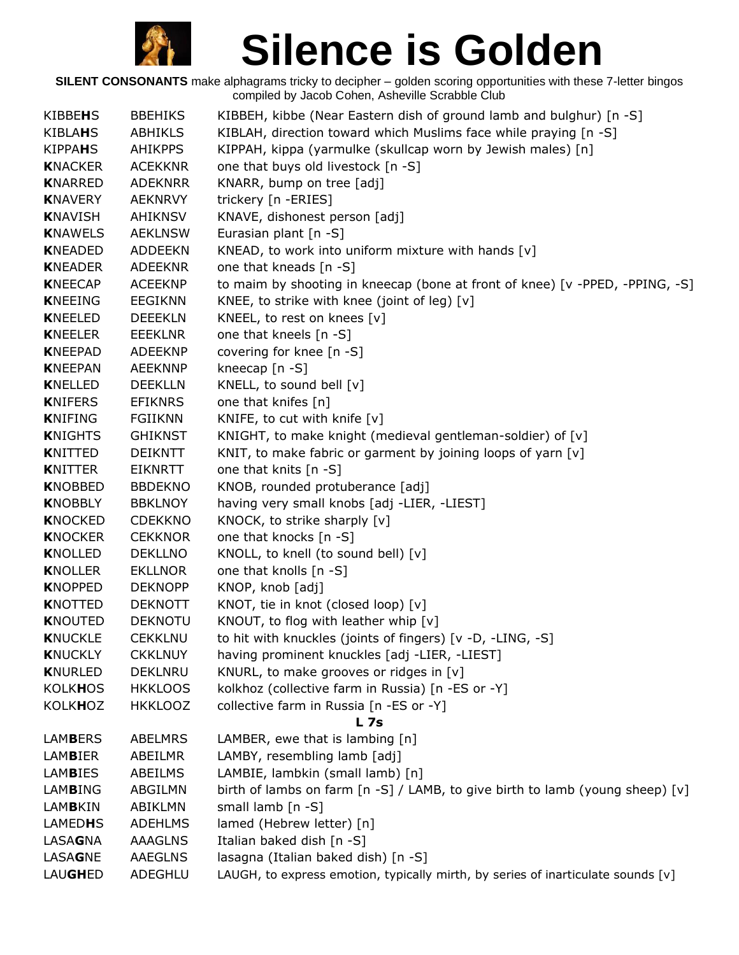

| KIBBEHS        | <b>BBEHIKS</b> | KIBBEH, kibbe (Near Eastern dish of ground lamb and bulghur) [n -S]              |
|----------------|----------------|----------------------------------------------------------------------------------|
| <b>KIBLAHS</b> | <b>ABHIKLS</b> | KIBLAH, direction toward which Muslims face while praying [n -S]                 |
| <b>KIPPAHS</b> | <b>AHIKPPS</b> | KIPPAH, kippa (yarmulke (skullcap worn by Jewish males) [n]                      |
| <b>KNACKER</b> | <b>ACEKKNR</b> | one that buys old livestock [n -S]                                               |
| <b>KNARRED</b> | <b>ADEKNRR</b> | KNARR, bump on tree [adj]                                                        |
| <b>KNAVERY</b> | <b>AEKNRVY</b> | trickery [n - ERIES]                                                             |
| <b>KNAVISH</b> | AHIKNSV        | KNAVE, dishonest person [adj]                                                    |
| <b>KNAWELS</b> | <b>AEKLNSW</b> | Eurasian plant [n -S]                                                            |
| <b>KNEADED</b> | <b>ADDEEKN</b> | KNEAD, to work into uniform mixture with hands [v]                               |
| <b>KNEADER</b> | <b>ADEEKNR</b> | one that kneads [n -S]                                                           |
| <b>KNEECAP</b> | <b>ACEEKNP</b> | to maim by shooting in kneecap (bone at front of knee) [v -PPED, -PPING, -S]     |
| <b>KNEEING</b> | <b>EEGIKNN</b> | KNEE, to strike with knee (joint of leg) [v]                                     |
| <b>KNEELED</b> | <b>DEEEKLN</b> | KNEEL, to rest on knees [v]                                                      |
| <b>KNEELER</b> | EEEKLNR        | one that kneels [n -S]                                                           |
| <b>KNEEPAD</b> | <b>ADEEKNP</b> | covering for knee [n -S]                                                         |
| <b>KNEEPAN</b> | AEEKNNP        | kneecap [n -S]                                                                   |
| <b>KNELLED</b> | <b>DEEKLLN</b> | KNELL, to sound bell [v]                                                         |
| <b>KNIFERS</b> | <b>EFIKNRS</b> | one that knifes [n]                                                              |
| <b>KNIFING</b> | FGIIKNN        | KNIFE, to cut with knife [v]                                                     |
| <b>KNIGHTS</b> | <b>GHIKNST</b> | KNIGHT, to make knight (medieval gentleman-soldier) of [v]                       |
| <b>KNITTED</b> | <b>DEIKNTT</b> | KNIT, to make fabric or garment by joining loops of yarn [v]                     |
| <b>KNITTER</b> | <b>EIKNRTT</b> | one that knits [n -S]                                                            |
| <b>KNOBBED</b> | <b>BBDEKNO</b> | KNOB, rounded protuberance [adj]                                                 |
| <b>KNOBBLY</b> | <b>BBKLNOY</b> | having very small knobs [adj -LIER, -LIEST]                                      |
| <b>KNOCKED</b> | <b>CDEKKNO</b> | KNOCK, to strike sharply [v]                                                     |
| <b>KNOCKER</b> | <b>CEKKNOR</b> | one that knocks [n -S]                                                           |
| <b>KNOLLED</b> | <b>DEKLLNO</b> | KNOLL, to knell (to sound bell) [v]                                              |
| <b>KNOLLER</b> | <b>EKLLNOR</b> | one that knolls [n -S]                                                           |
| <b>KNOPPED</b> | <b>DEKNOPP</b> | KNOP, knob [adj]                                                                 |
| <b>KNOTTED</b> | <b>DEKNOTT</b> | KNOT, tie in knot (closed loop) [v]                                              |
| <b>KNOUTED</b> | <b>DEKNOTU</b> | KNOUT, to flog with leather whip [v]                                             |
| <b>KNUCKLE</b> | <b>CEKKLNU</b> | to hit with knuckles (joints of fingers) [v -D, -LING, -S]                       |
| <b>KNUCKLY</b> | <b>CKKLNUY</b> | having prominent knuckles [adj -LIER, -LIEST]                                    |
| <b>KNURLED</b> | <b>DEKLNRU</b> | KNURL, to make grooves or ridges in [v]                                          |
| <b>KOLKHOS</b> | <b>HKKLOOS</b> | kolkhoz (collective farm in Russia) [n -ES or -Y]                                |
| <b>KOLKHOZ</b> | <b>HKKLOOZ</b> | collective farm in Russia [n -ES or -Y]<br><b>L7s</b>                            |
| <b>LAMBERS</b> | <b>ABELMRS</b> | LAMBER, ewe that is lambing [n]                                                  |
| <b>LAMBIER</b> | ABEILMR        | LAMBY, resembling lamb [adj]                                                     |
| <b>LAMBIES</b> | ABEILMS        | LAMBIE, lambkin (small lamb) [n]                                                 |
| <b>LAMBING</b> | ABGILMN        | birth of lambs on farm [n -S] / LAMB, to give birth to lamb (young sheep) [v]    |
| <b>LAMBKIN</b> | ABIKLMN        | small lamb [n -S]                                                                |
| <b>LAMEDHS</b> | <b>ADEHLMS</b> | lamed (Hebrew letter) [n]                                                        |
| LASAGNA        | <b>AAAGLNS</b> | Italian baked dish [n -S]                                                        |
| <b>LASAGNE</b> | <b>AAEGLNS</b> | lasagna (Italian baked dish) [n -S]                                              |
| <b>LAUGHED</b> | ADEGHLU        | LAUGH, to express emotion, typically mirth, by series of inarticulate sounds [v] |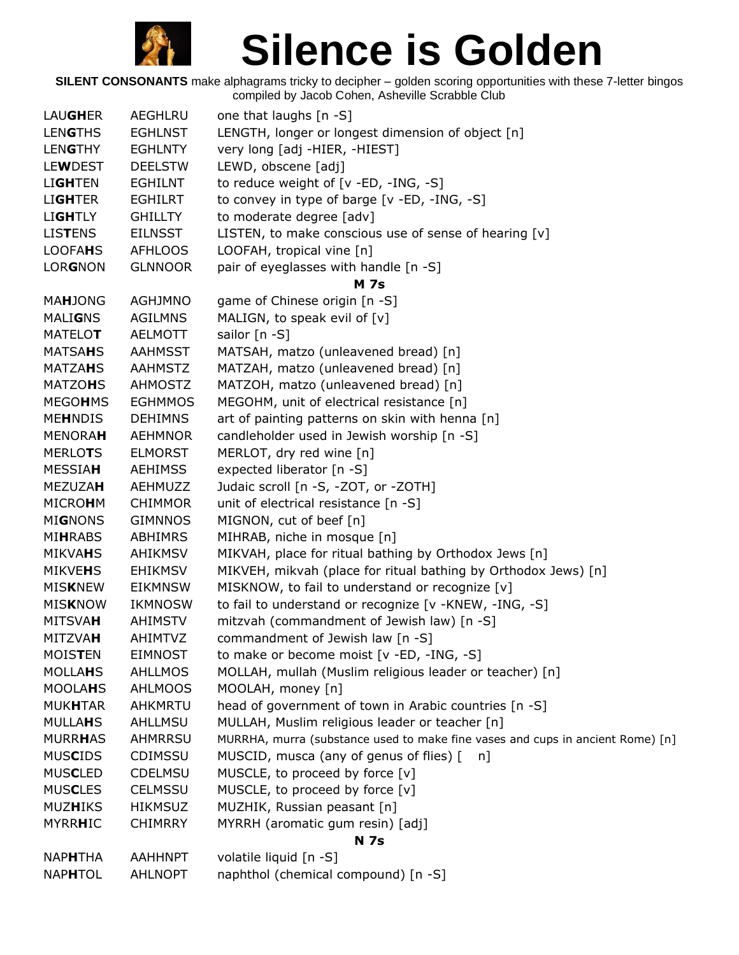

| <b>LAUGHER</b> | AEGHLRU        | one that laughs [n -S]                                                         |
|----------------|----------------|--------------------------------------------------------------------------------|
| <b>LENGTHS</b> | <b>EGHLNST</b> | LENGTH, longer or longest dimension of object [n]                              |
| <b>LENGTHY</b> | <b>EGHLNTY</b> | very long [adj -HIER, -HIEST]                                                  |
| <b>LEWDEST</b> | <b>DEELSTW</b> | LEWD, obscene [adj]                                                            |
| <b>LIGHTEN</b> | <b>EGHILNT</b> | to reduce weight of [v -ED, -ING, -S]                                          |
| <b>LIGHTER</b> | <b>EGHILRT</b> | to convey in type of barge [v -ED, -ING, -S]                                   |
| <b>LIGHTLY</b> | <b>GHILLTY</b> | to moderate degree [adv]                                                       |
| <b>LISTENS</b> | <b>EILNSST</b> | LISTEN, to make conscious use of sense of hearing [v]                          |
| <b>LOOFAHS</b> | <b>AFHLOOS</b> | LOOFAH, tropical vine [n]                                                      |
| <b>LORGNON</b> | <b>GLNNOOR</b> | pair of eyeglasses with handle [n -S]                                          |
|                |                | <b>M</b> 7s                                                                    |
| <b>MAHJONG</b> | <b>AGHJMNO</b> | game of Chinese origin [n -S]                                                  |
| <b>MALIGNS</b> | <b>AGILMNS</b> | MALIGN, to speak evil of [v]                                                   |
| <b>MATELOT</b> | AELMOTT        | sailor [n -S]                                                                  |
| <b>MATSAHS</b> | <b>AAHMSST</b> | MATSAH, matzo (unleavened bread) [n]                                           |
| <b>MATZAHS</b> | AAHMSTZ        | MATZAH, matzo (unleavened bread) [n]                                           |
| <b>MATZOHS</b> | <b>AHMOSTZ</b> | MATZOH, matzo (unleavened bread) [n]                                           |
| <b>MEGOHMS</b> | <b>EGHMMOS</b> | MEGOHM, unit of electrical resistance [n]                                      |
| <b>MEHNDIS</b> | <b>DEHIMNS</b> | art of painting patterns on skin with henna [n]                                |
| <b>MENORAH</b> | <b>AEHMNOR</b> | candleholder used in Jewish worship [n -S]                                     |
| <b>MERLOTS</b> | <b>ELMORST</b> | MERLOT, dry red wine [n]                                                       |
| <b>MESSIAH</b> | <b>AEHIMSS</b> | expected liberator [n -S]                                                      |
| <b>MEZUZAH</b> | <b>AEHMUZZ</b> | Judaic scroll [n -S, -ZOT, or -ZOTH]                                           |
| <b>MICROHM</b> | <b>CHIMMOR</b> | unit of electrical resistance [n -S]                                           |
| <b>MIGNONS</b> | <b>GIMNNOS</b> | MIGNON, cut of beef [n]                                                        |
| <b>MIHRABS</b> | <b>ABHIMRS</b> | MIHRAB, niche in mosque [n]                                                    |
| MIKVAHS        | AHIKMSV        | MIKVAH, place for ritual bathing by Orthodox Jews [n]                          |
| <b>MIKVEHS</b> | <b>EHIKMSV</b> | MIKVEH, mikvah (place for ritual bathing by Orthodox Jews) [n]                 |
| <b>MISKNEW</b> | <b>EIKMNSW</b> | MISKNOW, to fail to understand or recognize [v]                                |
| <b>MISKNOW</b> | <b>IKMNOSW</b> | to fail to understand or recognize [v -KNEW, -ING, -S]                         |
| <b>MITSVAH</b> | <b>AHIMSTV</b> | mitzvah (commandment of Jewish law) [n -S]                                     |
| <b>MITZVAH</b> | <b>AHIMTVZ</b> | commandment of Jewish law [n -S]                                               |
| <b>MOISTEN</b> | <b>EIMNOST</b> | to make or become moist [v -ED, -ING, -S]                                      |
| <b>MOLLAHS</b> | <b>AHLLMOS</b> | MOLLAH, mullah (Muslim religious leader or teacher) [n]                        |
| <b>MOOLAHS</b> | <b>AHLMOOS</b> | MOOLAH, money [n]                                                              |
| <b>MUKHTAR</b> | AHKMRTU        | head of government of town in Arabic countries [n -S]                          |
| <b>MULLAHS</b> | AHLLMSU        | MULLAH, Muslim religious leader or teacher [n]                                 |
| <b>MURRHAS</b> | <b>AHMRRSU</b> | MURRHA, murra (substance used to make fine vases and cups in ancient Rome) [n] |
| <b>MUSCIDS</b> | CDIMSSU        | MUSCID, musca (any of genus of flies) [<br>$n$ ]                               |
| <b>MUSCLED</b> | <b>CDELMSU</b> | MUSCLE, to proceed by force [v]                                                |
| <b>MUSCLES</b> | <b>CELMSSU</b> | MUSCLE, to proceed by force [v]                                                |
| <b>MUZHIKS</b> | <b>HIKMSUZ</b> | MUZHIK, Russian peasant [n]                                                    |
| MYRRHIC        | <b>CHIMRRY</b> | MYRRH (aromatic gum resin) [adj]                                               |
|                |                | <b>N 7s</b>                                                                    |
| <b>NAPHTHA</b> | <b>AAHHNPT</b> | volatile liquid [n -S]                                                         |
| <b>NAPHTOL</b> | <b>AHLNOPT</b> | naphthol (chemical compound) [n -S]                                            |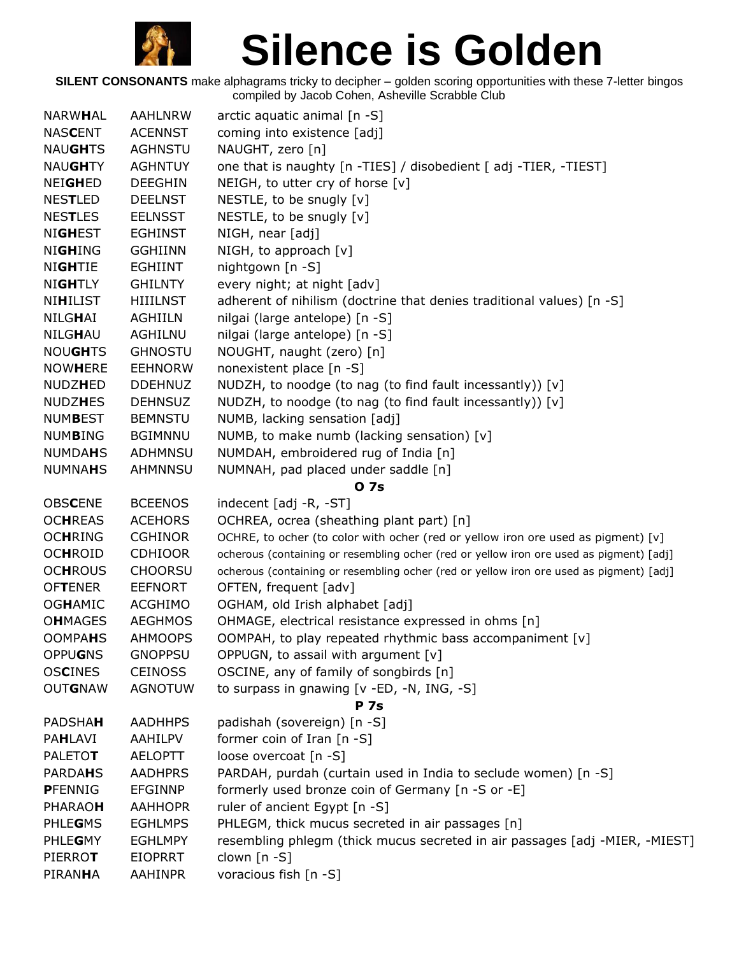

| <b>NARWHAL</b>  | <b>AAHLNRW</b>  | arctic aquatic animal [n -S]                                                            |
|-----------------|-----------------|-----------------------------------------------------------------------------------------|
| <b>NASCENT</b>  | <b>ACENNST</b>  | coming into existence [adj]                                                             |
| <b>NAUGHTS</b>  | <b>AGHNSTU</b>  | NAUGHT, zero [n]                                                                        |
| <b>NAUGHTY</b>  | <b>AGHNTUY</b>  | one that is naughty [n -TIES] / disobedient [ adj -TIER, -TIEST]                        |
| <b>NEIGHED</b>  | <b>DEEGHIN</b>  | NEIGH, to utter cry of horse [v]                                                        |
| <b>NESTLED</b>  | <b>DEELNST</b>  | NESTLE, to be snugly $[v]$                                                              |
| <b>NESTLES</b>  | <b>EELNSST</b>  | NESTLE, to be snugly [v]                                                                |
| <b>NIGHEST</b>  | <b>EGHINST</b>  | NIGH, near [adj]                                                                        |
| <b>NIGHING</b>  | <b>GGHIINN</b>  | NIGH, to approach [v]                                                                   |
| <b>NIGHTIE</b>  | EGHIINT         | nightgown [n -S]                                                                        |
| <b>NIGHTLY</b>  | <b>GHILNTY</b>  | every night; at night [adv]                                                             |
| <b>NIHILIST</b> | <b>HIIILNST</b> | adherent of nihilism (doctrine that denies traditional values) [n -S]                   |
| NILGHAI         | AGHIILN         | nilgai (large antelope) [n -S]                                                          |
| <b>NILGHAU</b>  | AGHILNU         | nilgai (large antelope) [n -S]                                                          |
| <b>NOUGHTS</b>  | <b>GHNOSTU</b>  | NOUGHT, naught (zero) [n]                                                               |
| <b>NOWHERE</b>  | <b>EEHNORW</b>  | nonexistent place [n -S]                                                                |
| <b>NUDZHED</b>  | <b>DDEHNUZ</b>  | NUDZH, to noodge (to nag (to find fault incessantly)) [v]                               |
| <b>NUDZHES</b>  | <b>DEHNSUZ</b>  | NUDZH, to noodge (to nag (to find fault incessantly)) [v]                               |
| <b>NUMBEST</b>  | <b>BEMNSTU</b>  | NUMB, lacking sensation [adj]                                                           |
| <b>NUMBING</b>  | <b>BGIMNNU</b>  | NUMB, to make numb (lacking sensation) [v]                                              |
| <b>NUMDAHS</b>  | ADHMNSU         | NUMDAH, embroidered rug of India [n]                                                    |
| <b>NUMNAHS</b>  | <b>AHMNNSU</b>  | NUMNAH, pad placed under saddle [n]                                                     |
|                 |                 | 0 7s                                                                                    |
| <b>OBSCENE</b>  | <b>BCEENOS</b>  | indecent [adj -R, -ST]                                                                  |
| <b>OCHREAS</b>  | <b>ACEHORS</b>  | OCHREA, ocrea (sheathing plant part) [n]                                                |
| <b>OCHRING</b>  | <b>CGHINOR</b>  | OCHRE, to ocher (to color with ocher (red or yellow iron ore used as pigment) [v]       |
| <b>OCHROID</b>  | <b>CDHIOOR</b>  | ocherous (containing or resembling ocher (red or yellow iron ore used as pigment) [adj] |
| <b>OCHROUS</b>  | <b>CHOORSU</b>  | ocherous (containing or resembling ocher (red or yellow iron ore used as pigment) [adj] |
| <b>OFTENER</b>  | <b>EEFNORT</b>  | OFTEN, frequent [adv]                                                                   |
| <b>OGHAMIC</b>  | <b>ACGHIMO</b>  | OGHAM, old Irish alphabet [adj]                                                         |
| <b>OHMAGES</b>  | <b>AEGHMOS</b>  | OHMAGE, electrical resistance expressed in ohms [n]                                     |
| <b>OOMPAHS</b>  | <b>AHMOOPS</b>  | OOMPAH, to play repeated rhythmic bass accompaniment [v]                                |
| <b>OPPUGNS</b>  | <b>GNOPPSU</b>  | OPPUGN, to assail with argument [v]                                                     |
| <b>OSCINES</b>  | <b>CEINOSS</b>  | OSCINE, any of family of songbirds [n]                                                  |
| <b>OUTGNAW</b>  | <b>AGNOTUW</b>  | to surpass in gnawing [v -ED, -N, ING, -S]                                              |
| <b>PADSHAH</b>  | <b>AADHHPS</b>  | <b>P</b> 7s<br>padishah (sovereign) [n -S]                                              |
| PAHLAVI         | AAHILPV         | former coin of Iran [n -S]                                                              |
| <b>PALETOT</b>  | <b>AELOPTT</b>  | loose overcoat [n -S]                                                                   |
| <b>PARDAHS</b>  | <b>AADHPRS</b>  | PARDAH, purdah (curtain used in India to seclude women) [n -S]                          |
| <b>PFENNIG</b>  | <b>EFGINNP</b>  | formerly used bronze coin of Germany [n -S or -E]                                       |
| <b>PHARAOH</b>  | <b>AAHHOPR</b>  | ruler of ancient Egypt [n -S]                                                           |
| <b>PHLEGMS</b>  | <b>EGHLMPS</b>  | PHLEGM, thick mucus secreted in air passages [n]                                        |
| PHLEGMY         | <b>EGHLMPY</b>  | resembling phlegm (thick mucus secreted in air passages [adj -MIER, -MIEST]             |
| <b>PIERROT</b>  | <b>EIOPRRT</b>  | clown [n -S]                                                                            |
| PIRANHA         | <b>AAHINPR</b>  | voracious fish [n -S]                                                                   |
|                 |                 |                                                                                         |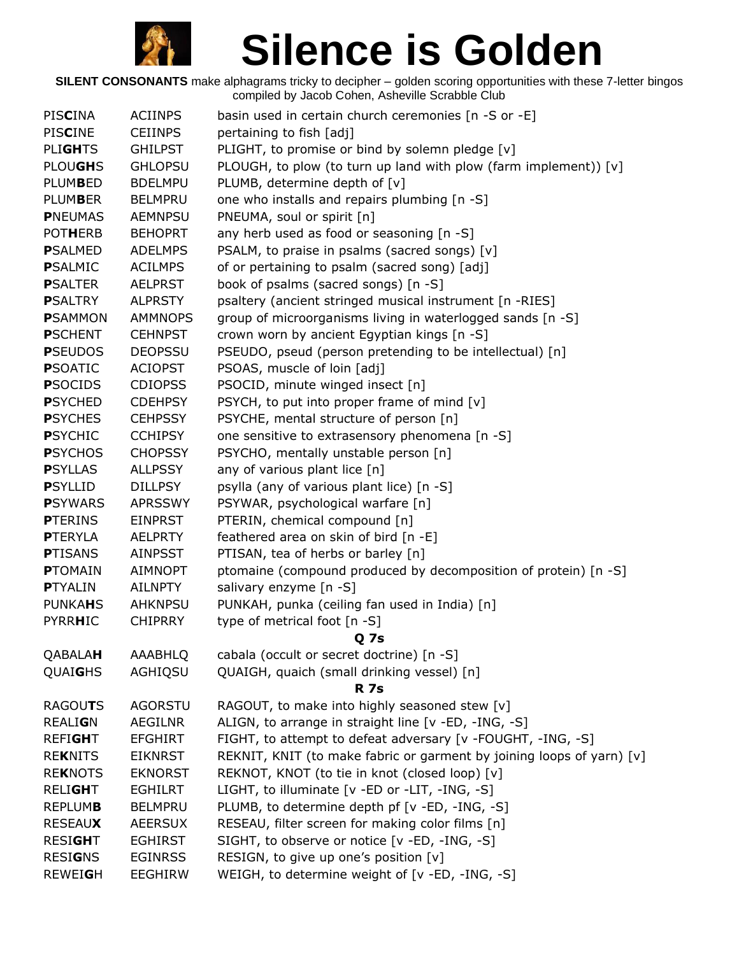

| PISCINA         | <b>ACIINPS</b> | basin used in certain church ceremonies [n -S or -E]                  |
|-----------------|----------------|-----------------------------------------------------------------------|
| <b>PISCINE</b>  | <b>CEIINPS</b> | pertaining to fish [adj]                                              |
| <b>PLIGHTS</b>  | <b>GHILPST</b> | PLIGHT, to promise or bind by solemn pledge [v]                       |
| <b>PLOUGHS</b>  | <b>GHLOPSU</b> | PLOUGH, to plow (to turn up land with plow (farm implement)) [v]      |
| <b>PLUMBED</b>  | <b>BDELMPU</b> | PLUMB, determine depth of [v]                                         |
| <b>PLUMBER</b>  | <b>BELMPRU</b> | one who installs and repairs plumbing [n -S]                          |
| <b>PNEUMAS</b>  | <b>AEMNPSU</b> | PNEUMA, soul or spirit [n]                                            |
| <b>POTHERB</b>  | <b>BEHOPRT</b> | any herb used as food or seasoning [n -S]                             |
| <b>PSALMED</b>  | <b>ADELMPS</b> | PSALM, to praise in psalms (sacred songs) [v]                         |
| <b>P</b> SALMIC | <b>ACILMPS</b> | of or pertaining to psalm (sacred song) [adj]                         |
| <b>PSALTER</b>  | <b>AELPRST</b> | book of psalms (sacred songs) [n -S]                                  |
| <b>PSALTRY</b>  | <b>ALPRSTY</b> | psaltery (ancient stringed musical instrument [n -RIES]               |
| <b>P</b> SAMMON | <b>AMMNOPS</b> | group of microorganisms living in waterlogged sands [n -S]            |
| <b>PSCHENT</b>  | <b>CEHNPST</b> | crown worn by ancient Egyptian kings [n -S]                           |
| <b>PSEUDOS</b>  | <b>DEOPSSU</b> | PSEUDO, pseud (person pretending to be intellectual) [n]              |
| <b>PSOATIC</b>  | <b>ACIOPST</b> | PSOAS, muscle of loin [adj]                                           |
| <b>PSOCIDS</b>  | <b>CDIOPSS</b> | PSOCID, minute winged insect [n]                                      |
| <b>PSYCHED</b>  | <b>CDEHPSY</b> | PSYCH, to put into proper frame of mind [v]                           |
| <b>PSYCHES</b>  | <b>CEHPSSY</b> | PSYCHE, mental structure of person [n]                                |
| <b>PSYCHIC</b>  | <b>CCHIPSY</b> | one sensitive to extrasensory phenomena [n -S]                        |
| <b>PSYCHOS</b>  | <b>CHOPSSY</b> | PSYCHO, mentally unstable person [n]                                  |
| <b>PSYLLAS</b>  | <b>ALLPSSY</b> | any of various plant lice [n]                                         |
| <b>PSYLLID</b>  | <b>DILLPSY</b> | psylla (any of various plant lice) [n -S]                             |
| <b>P</b> SYWARS | <b>APRSSWY</b> | PSYWAR, psychological warfare [n]                                     |
| <b>PTERINS</b>  | <b>EINPRST</b> | PTERIN, chemical compound [n]                                         |
| <b>PTERYLA</b>  | <b>AELPRTY</b> | feathered area on skin of bird [n -E]                                 |
| <b>PTISANS</b>  | <b>AINPSST</b> | PTISAN, tea of herbs or barley [n]                                    |
| <b>PTOMAIN</b>  | <b>AIMNOPT</b> | ptomaine (compound produced by decomposition of protein) [n -S]       |
| <b>PTYALIN</b>  | <b>AILNPTY</b> | salivary enzyme [n -S]                                                |
| <b>PUNKAHS</b>  | <b>AHKNPSU</b> | PUNKAH, punka (ceiling fan used in India) [n]                         |
| <b>PYRRHIC</b>  | <b>CHIPRRY</b> | type of metrical foot [n -S]                                          |
|                 |                | Q <sub>7s</sub>                                                       |
| QABALAH         | AAABHLQ        | cabala (occult or secret doctrine) [n -S]                             |
| QUAIGHS         | AGHIQSU        | QUAIGH, quaich (small drinking vessel) [n]                            |
|                 |                | <b>R</b> 7s                                                           |
| RAGOUTS         | <b>AGORSTU</b> | RAGOUT, to make into highly seasoned stew [v]                         |
| <b>REALIGN</b>  | AEGILNR        | ALIGN, to arrange in straight line [v -ED, -ING, -S]                  |
| <b>REFIGHT</b>  | <b>EFGHIRT</b> | FIGHT, to attempt to defeat adversary [v -FOUGHT, -ING, -S]           |
| <b>REKNITS</b>  | <b>EIKNRST</b> | REKNIT, KNIT (to make fabric or garment by joining loops of yarn) [v] |
| <b>REKNOTS</b>  | <b>EKNORST</b> | REKNOT, KNOT (to tie in knot (closed loop) [v]                        |
| <b>RELIGHT</b>  | <b>EGHILRT</b> | LIGHT, to illuminate [v -ED or -LIT, -ING, -S]                        |
| <b>REPLUMB</b>  | <b>BELMPRU</b> | PLUMB, to determine depth pf [v -ED, -ING, -S]                        |
| <b>RESEAUX</b>  | <b>AEERSUX</b> | RESEAU, filter screen for making color films [n]                      |
| <b>RESIGHT</b>  | <b>EGHIRST</b> | SIGHT, to observe or notice [v -ED, -ING, -S]                         |
| <b>RESIGNS</b>  | <b>EGINRSS</b> | RESIGN, to give up one's position [v]                                 |
| <b>REWEIGH</b>  | EEGHIRW        | WEIGH, to determine weight of [v -ED, -ING, -S]                       |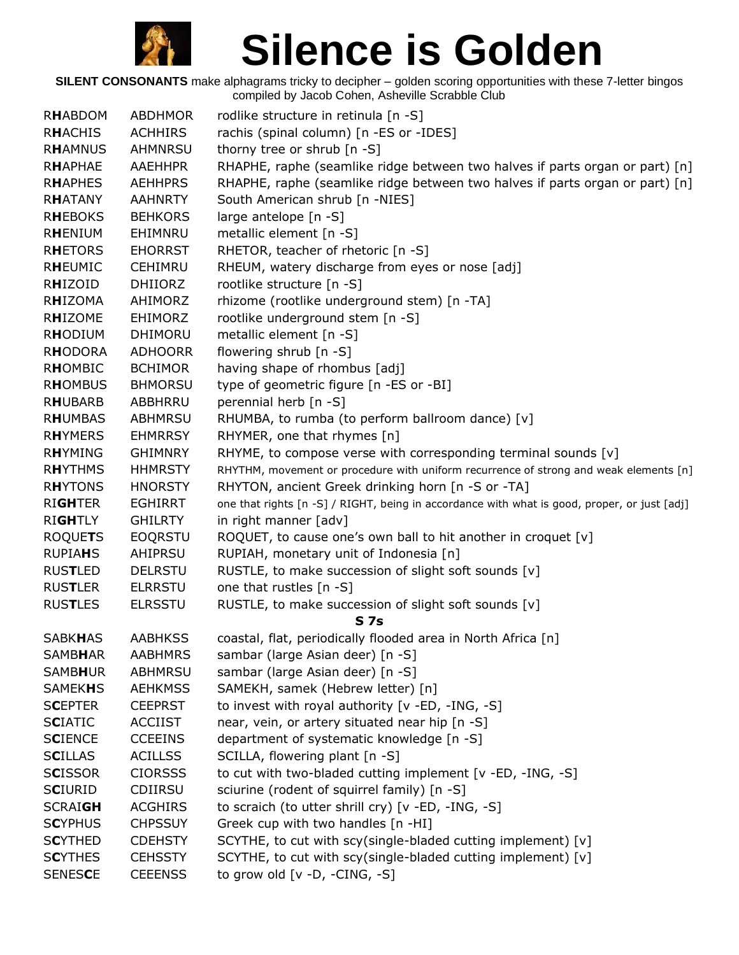

| <b>RHABDOM</b> | <b>ABDHMOR</b> | rodlike structure in retinula [n -S]                                                         |
|----------------|----------------|----------------------------------------------------------------------------------------------|
| <b>RHACHIS</b> | <b>ACHHIRS</b> | rachis (spinal column) [n -ES or -IDES]                                                      |
| <b>RHAMNUS</b> | AHMNRSU        | thorny tree or shrub [n -S]                                                                  |
| <b>RHAPHAE</b> | <b>AAEHHPR</b> | RHAPHE, raphe (seamlike ridge between two halves if parts organ or part) [n]                 |
| <b>RHAPHES</b> | <b>AEHHPRS</b> | RHAPHE, raphe (seamlike ridge between two halves if parts organ or part) [n]                 |
| <b>RHATANY</b> | <b>AAHNRTY</b> | South American shrub [n -NIES]                                                               |
| <b>RHEBOKS</b> | <b>BEHKORS</b> | large antelope [n -S]                                                                        |
| RHENIUM        | EHIMNRU        | metallic element [n -S]                                                                      |
| <b>RHETORS</b> | <b>EHORRST</b> | RHETOR, teacher of rhetoric [n -S]                                                           |
| <b>RHEUMIC</b> | <b>CEHIMRU</b> | RHEUM, watery discharge from eyes or nose [adj]                                              |
| RHIZOID        | <b>DHIIORZ</b> | rootlike structure [n -S]                                                                    |
| <b>RHIZOMA</b> | AHIMORZ        | rhizome (rootlike underground stem) [n -TA]                                                  |
| RHIZOME        | <b>EHIMORZ</b> | rootlike underground stem [n -S]                                                             |
| <b>RHODIUM</b> | <b>DHIMORU</b> | metallic element [n -S]                                                                      |
| <b>RHODORA</b> | <b>ADHOORR</b> | flowering shrub [n -S]                                                                       |
| RHOMBIC        | <b>BCHIMOR</b> | having shape of rhombus [adj]                                                                |
| <b>RHOMBUS</b> | <b>BHMORSU</b> | type of geometric figure [n -ES or -BI]                                                      |
| <b>RHUBARB</b> | ABBHRRU        | perennial herb [n -S]                                                                        |
| <b>RHUMBAS</b> | ABHMRSU        | RHUMBA, to rumba (to perform ballroom dance) [v]                                             |
| <b>RHYMERS</b> | <b>EHMRRSY</b> | RHYMER, one that rhymes [n]                                                                  |
| <b>RHYMING</b> | <b>GHIMNRY</b> | RHYME, to compose verse with corresponding terminal sounds [v]                               |
| <b>RHYTHMS</b> | <b>HHMRSTY</b> | RHYTHM, movement or procedure with uniform recurrence of strong and weak elements [n]        |
| <b>RHYTONS</b> | <b>HNORSTY</b> | RHYTON, ancient Greek drinking horn [n -S or -TA]                                            |
| <b>RIGHTER</b> | <b>EGHIRRT</b> | one that rights [n -S] / RIGHT, being in accordance with what is good, proper, or just [adj] |
| <b>RIGHTLY</b> | <b>GHILRTY</b> | in right manner [adv]                                                                        |
| <b>ROQUETS</b> | <b>EOQRSTU</b> | ROQUET, to cause one's own ball to hit another in croquet [v]                                |
| <b>RUPIAHS</b> | AHIPRSU        | RUPIAH, monetary unit of Indonesia [n]                                                       |
| <b>RUSTLED</b> | <b>DELRSTU</b> | RUSTLE, to make succession of slight soft sounds [v]                                         |
| <b>RUSTLER</b> | <b>ELRRSTU</b> | one that rustles [n -S]                                                                      |
| <b>RUSTLES</b> | <b>ELRSSTU</b> | RUSTLE, to make succession of slight soft sounds [v]                                         |
|                |                | S <sub>7s</sub>                                                                              |
| <b>SABKHAS</b> | <b>AABHKSS</b> | coastal, flat, periodically flooded area in North Africa [n]                                 |
| <b>SAMBHAR</b> | <b>AABHMRS</b> | sambar (large Asian deer) [n -S]                                                             |
| <b>SAMBHUR</b> | <b>ABHMRSU</b> | sambar (large Asian deer) [n -S]                                                             |
| <b>SAMEKHS</b> | <b>AEHKMSS</b> | SAMEKH, samek (Hebrew letter) [n]                                                            |
| <b>SCEPTER</b> | <b>CEEPRST</b> | to invest with royal authority [v -ED, -ING, -S]                                             |
| <b>SCIATIC</b> | <b>ACCIIST</b> | near, vein, or artery situated near hip [n -S]                                               |
| <b>SCIENCE</b> | <b>CCEEINS</b> | department of systematic knowledge [n -S]                                                    |
| <b>SCILLAS</b> | <b>ACILLSS</b> | SCILLA, flowering plant [n -S]                                                               |
| <b>SCISSOR</b> | <b>CIORSSS</b> | to cut with two-bladed cutting implement [v -ED, -ING, -S]                                   |
| <b>SCIURID</b> | CDIIRSU        | sciurine (rodent of squirrel family) [n -S]                                                  |
| <b>SCRAIGH</b> | <b>ACGHIRS</b> | to scraich (to utter shrill cry) [v -ED, -ING, -S]                                           |
| <b>SCYPHUS</b> | <b>CHPSSUY</b> | Greek cup with two handles [n -HI]                                                           |
| <b>SCYTHED</b> | <b>CDEHSTY</b> | SCYTHE, to cut with scy(single-bladed cutting implement) [v]                                 |
| <b>SCYTHES</b> | <b>CEHSSTY</b> | SCYTHE, to cut with scy(single-bladed cutting implement) [v]                                 |
| <b>SENESCE</b> | <b>CEEENSS</b> | to grow old $[v -D, -CING, -S]$                                                              |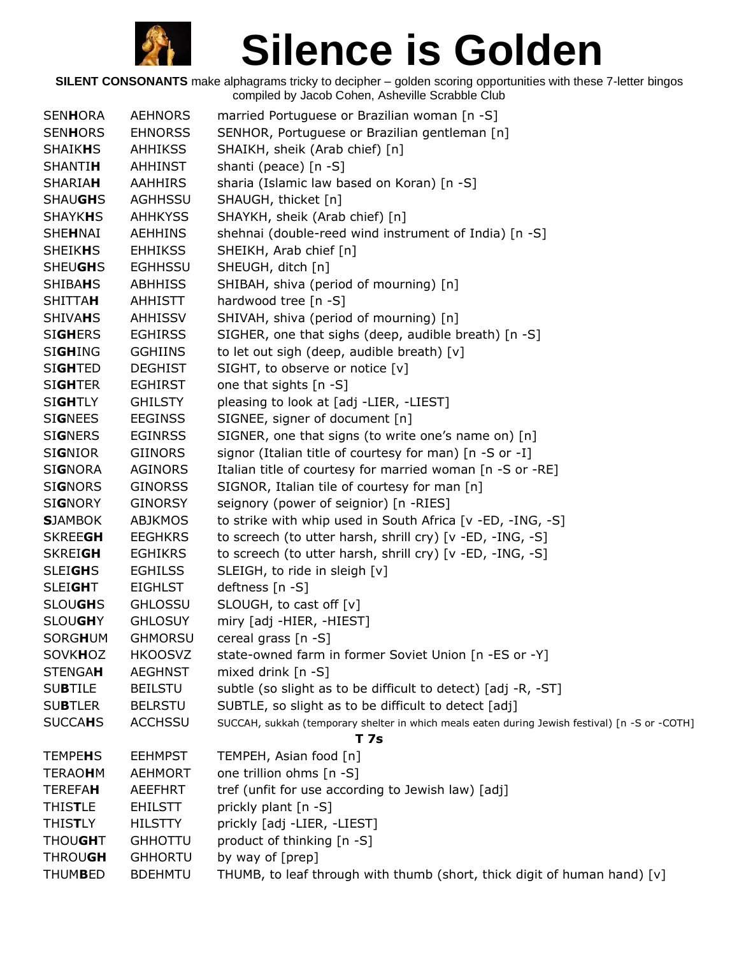

| <b>SENHORA</b> | <b>AEHNORS</b> | married Portuguese or Brazilian woman [n -S]                                                   |
|----------------|----------------|------------------------------------------------------------------------------------------------|
| <b>SENHORS</b> | <b>EHNORSS</b> | SENHOR, Portuguese or Brazilian gentleman [n]                                                  |
| <b>SHAIKHS</b> | <b>AHHIKSS</b> | SHAIKH, sheik (Arab chief) [n]                                                                 |
| <b>SHANTIH</b> | AHHINST        | shanti (peace) [n -S]                                                                          |
| <b>SHARIAH</b> | <b>AAHHIRS</b> | sharia (Islamic law based on Koran) [n -S]                                                     |
| <b>SHAUGHS</b> | AGHHSSU        | SHAUGH, thicket [n]                                                                            |
| <b>SHAYKHS</b> | <b>AHHKYSS</b> | SHAYKH, sheik (Arab chief) [n]                                                                 |
| SHEHNAI        | AEHHINS        | shehnai (double-reed wind instrument of India) [n -S]                                          |
| <b>SHEIKHS</b> | <b>EHHIKSS</b> | SHEIKH, Arab chief [n]                                                                         |
| <b>SHEUGHS</b> | <b>EGHHSSU</b> | SHEUGH, ditch [n]                                                                              |
| <b>SHIBAHS</b> | ABHHISS        | SHIBAH, shiva (period of mourning) [n]                                                         |
| <b>SHITTAH</b> | AHHISTT        | hardwood tree [n -S]                                                                           |
| <b>SHIVAHS</b> | AHHISSV        | SHIVAH, shiva (period of mourning) [n]                                                         |
| <b>SIGHERS</b> | <b>EGHIRSS</b> | SIGHER, one that sighs (deep, audible breath) [n -S]                                           |
| <b>SIGHING</b> | <b>GGHIINS</b> | to let out sigh (deep, audible breath) [v]                                                     |
| <b>SIGHTED</b> | <b>DEGHIST</b> | SIGHT, to observe or notice [v]                                                                |
| <b>SIGHTER</b> | <b>EGHIRST</b> | one that sights [n -S]                                                                         |
| <b>SIGHTLY</b> | <b>GHILSTY</b> | pleasing to look at [adj -LIER, -LIEST]                                                        |
| <b>SIGNEES</b> | <b>EEGINSS</b> | SIGNEE, signer of document [n]                                                                 |
| <b>SIGNERS</b> | <b>EGINRSS</b> | SIGNER, one that signs (to write one's name on) [n]                                            |
| <b>SIGNIOR</b> | GIINORS        | signor (Italian title of courtesy for man) [n -S or -I]                                        |
| <b>SIGNORA</b> | <b>AGINORS</b> | Italian title of courtesy for married woman [n -S or -RE]                                      |
| <b>SIGNORS</b> | <b>GINORSS</b> | SIGNOR, Italian tile of courtesy for man [n]                                                   |
| <b>SIGNORY</b> | <b>GINORSY</b> | seignory (power of seignior) [n -RIES]                                                         |
| <b>SJAMBOK</b> | <b>ABJKMOS</b> | to strike with whip used in South Africa [v -ED, -ING, -S]                                     |
| <b>SKREEGH</b> | <b>EEGHKRS</b> | to screech (to utter harsh, shrill cry) [v -ED, -ING, -S]                                      |
| <b>SKREIGH</b> | <b>EGHIKRS</b> | to screech (to utter harsh, shrill cry) [v -ED, -ING, -S]                                      |
| <b>SLEIGHS</b> | <b>EGHILSS</b> | SLEIGH, to ride in sleigh [v]                                                                  |
| <b>SLEIGHT</b> | <b>EIGHLST</b> | deftness [n -S]                                                                                |
| <b>SLOUGHS</b> | <b>GHLOSSU</b> | SLOUGH, to cast off [v]                                                                        |
| <b>SLOUGHY</b> | <b>GHLOSUY</b> | miry [adj -HIER, -HIEST]                                                                       |
| <b>SORGHUM</b> | <b>GHMORSU</b> | cereal grass [n -S]                                                                            |
| <b>SOVKHOZ</b> | <b>HKOOSVZ</b> | state-owned farm in former Soviet Union [n -ES or -Y]                                          |
| <b>STENGAH</b> | <b>AEGHNST</b> | mixed drink $[n - S]$                                                                          |
| <b>SUBTILE</b> | <b>BEILSTU</b> | subtle (so slight as to be difficult to detect) [adj -R, -ST]                                  |
| <b>SUBTLER</b> | <b>BELRSTU</b> | SUBTLE, so slight as to be difficult to detect [adj]                                           |
| <b>SUCCAHS</b> | <b>ACCHSSU</b> | SUCCAH, sukkah (temporary shelter in which meals eaten during Jewish festival) [n -S or -COTH] |
|                |                | <b>T</b> 7s                                                                                    |
| <b>TEMPEHS</b> | <b>EEHMPST</b> | TEMPEH, Asian food [n]                                                                         |
| <b>TERAOHM</b> | <b>AEHMORT</b> | one trillion ohms [n -S]                                                                       |
| <b>TEREFAH</b> | AEEFHRT        | tref (unfit for use according to Jewish law) [adj]                                             |
| <b>THISTLE</b> | <b>EHILSTT</b> | prickly plant [n -S]                                                                           |
| <b>THISTLY</b> | <b>HILSTTY</b> | prickly [adj -LIER, -LIEST]                                                                    |
| <b>THOUGHT</b> | <b>GHHOTTU</b> | product of thinking [n -S]                                                                     |
| <b>THROUGH</b> | <b>GHHORTU</b> | by way of [prep]                                                                               |
| <b>THUMBED</b> | <b>BDEHMTU</b> | THUMB, to leaf through with thumb (short, thick digit of human hand) $[v]$                     |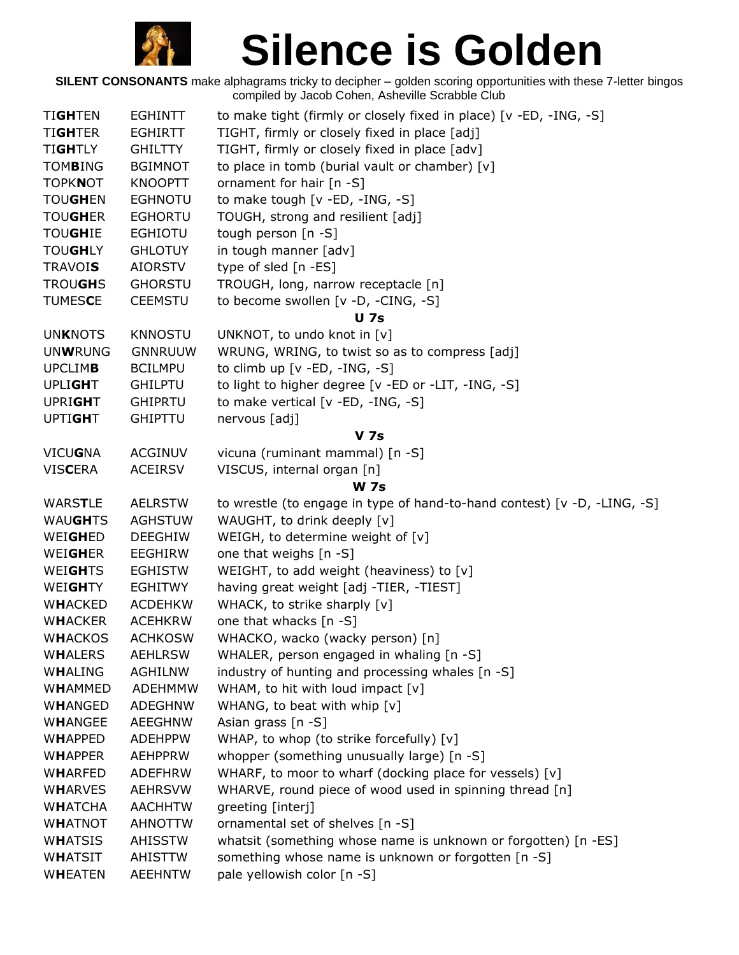

| <b>TIGHTEN</b>                   | <b>EGHINTT</b>            | to make tight (firmly or closely fixed in place) [v -ED, -ING, -S]                 |
|----------------------------------|---------------------------|------------------------------------------------------------------------------------|
| <b>TIGHTER</b>                   | <b>EGHIRTT</b>            | TIGHT, firmly or closely fixed in place [adj]                                      |
| <b>TIGHTLY</b>                   | <b>GHILTTY</b>            | TIGHT, firmly or closely fixed in place [adv]                                      |
| <b>TOMBING</b>                   | <b>BGIMNOT</b>            | to place in tomb (burial vault or chamber) [v]                                     |
| <b>TOPKNOT</b>                   | <b>KNOOPTT</b>            | ornament for hair [n -S]                                                           |
| <b>TOUGHEN</b>                   | <b>EGHNOTU</b>            | to make tough [v -ED, -ING, -S]                                                    |
| <b>TOUGHER</b>                   | <b>EGHORTU</b>            | TOUGH, strong and resilient [adj]                                                  |
| <b>TOUGHIE</b>                   | <b>EGHIOTU</b>            | tough person [n -S]                                                                |
| <b>TOUGHLY</b>                   | <b>GHLOTUY</b>            | in tough manner [adv]                                                              |
| <b>TRAVOIS</b>                   | <b>AIORSTV</b>            | type of sled [n -ES]                                                               |
| <b>TROUGHS</b>                   | <b>GHORSTU</b>            | TROUGH, long, narrow receptacle [n]                                                |
| <b>TUMESCE</b>                   | <b>CEEMSTU</b>            | to become swollen [v -D, -CING, -S]                                                |
|                                  |                           | <b>U</b> 7s                                                                        |
| <b>UNKNOTS</b>                   | <b>KNNOSTU</b>            | UNKNOT, to undo knot in [v]                                                        |
| <b>UNWRUNG</b>                   | <b>GNNRUUW</b>            | WRUNG, WRING, to twist so as to compress [adj]                                     |
| <b>UPCLIMB</b>                   | <b>BCILMPU</b>            | to climb up $[v - ED, -ING, -S]$                                                   |
| <b>UPLIGHT</b>                   | <b>GHILPTU</b>            | to light to higher degree [v -ED or -LIT, -ING, -S]                                |
| <b>UPRIGHT</b>                   | <b>GHIPRTU</b>            | to make vertical [v -ED, -ING, -S]                                                 |
| <b>UPTIGHT</b>                   | <b>GHIPTTU</b>            | nervous [adj]                                                                      |
|                                  |                           | <b>V</b> 7s                                                                        |
| <b>VICUGNA</b>                   | <b>ACGINUV</b>            | vicuna (ruminant mammal) [n -S]                                                    |
| <b>VISCERA</b>                   | <b>ACEIRSV</b>            | VISCUS, internal organ [n]                                                         |
|                                  |                           | <b>W</b> 7s                                                                        |
|                                  |                           |                                                                                    |
| WARSTLE                          | <b>AELRSTW</b>            | to wrestle (to engage in type of hand-to-hand contest) [v -D, -LING, -S]           |
| WAUGHTS                          | <b>AGHSTUW</b>            | WAUGHT, to drink deeply [v]                                                        |
| WEIGHED                          | <b>DEEGHIW</b>            | WEIGH, to determine weight of [v]                                                  |
| WEIGHER                          | <b>EEGHIRW</b>            | one that weighs [n -S]                                                             |
| <b>WEIGHTS</b>                   | <b>EGHISTW</b>            | WEIGHT, to add weight (heaviness) to [v]                                           |
| WEIGHTY                          | <b>EGHITWY</b>            | having great weight [adj -TIER, -TIEST]                                            |
| <b>WHACKED</b>                   | <b>ACDEHKW</b>            | WHACK, to strike sharply [v]                                                       |
| <b>WHACKER</b>                   | <b>ACEHKRW</b>            | one that whacks [n -S]                                                             |
| <b>WHACKOS</b>                   | <b>ACHKOSW</b>            | WHACKO, wacko (wacky person) [n]                                                   |
| <b>WHALERS</b>                   | <b>AEHLRSW</b>            | WHALER, person engaged in whaling [n -S]                                           |
| WHALING                          | <b>AGHILNW</b>            | industry of hunting and processing whales [n -S]                                   |
| WHAMMED                          | <b>ADEHMMW</b>            | WHAM, to hit with loud impact [v]                                                  |
| WHANGED                          | <b>ADEGHNW</b>            | WHANG, to beat with whip [v]                                                       |
| WHANGEE                          | AEEGHNW                   | Asian grass [n -S]                                                                 |
| <b>WHAPPED</b>                   | <b>ADEHPPW</b>            | WHAP, to whop (to strike forcefully) [v]                                           |
| <b>WHAPPER</b>                   | <b>AEHPPRW</b>            | whopper (something unusually large) [n -S]                                         |
| WHARFED                          | <b>ADEFHRW</b>            | WHARF, to moor to wharf (docking place for vessels) [v]                            |
| <b>WHARVES</b>                   | <b>AEHRSVW</b>            | WHARVE, round piece of wood used in spinning thread [n]                            |
| <b>WHATCHA</b>                   | <b>AACHHTW</b>            | greeting [interj]                                                                  |
| <b>WHATNOT</b>                   | <b>AHNOTTW</b>            | ornamental set of shelves [n -S]                                                   |
| <b>WHATSIS</b>                   | <b>AHISSTW</b>            | whatsit (something whose name is unknown or forgotten) [n -ES]                     |
| <b>WHATSIT</b><br><b>WHEATEN</b> | AHISTTW<br><b>AEEHNTW</b> | something whose name is unknown or forgotten [n -S]<br>pale yellowish color [n -S] |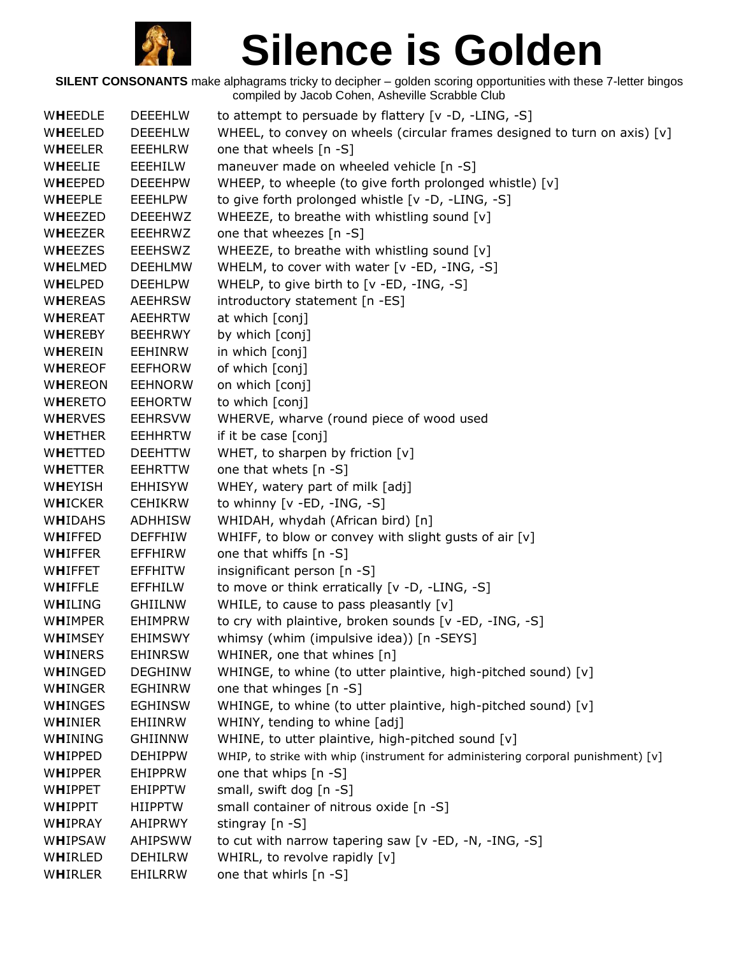

| WHEEDLE        | <b>DEEEHLW</b> | to attempt to persuade by flattery [v -D, -LING, -S]                             |
|----------------|----------------|----------------------------------------------------------------------------------|
| WHEELED        | <b>DEEEHLW</b> | WHEEL, to convey on wheels (circular frames designed to turn on axis) [v]        |
| WHEELER        | <b>EEEHLRW</b> | one that wheels [n -S]                                                           |
| WHEELIE        | EEEHILW        | maneuver made on wheeled vehicle [n -S]                                          |
| WHEEPED        | <b>DEEEHPW</b> | WHEEP, to wheeple (to give forth prolonged whistle) [v]                          |
| WHEEPLE        | <b>EEEHLPW</b> | to give forth prolonged whistle [v -D, -LING, -S]                                |
| WHEEZED        | <b>DEEEHWZ</b> | WHEEZE, to breathe with whistling sound [v]                                      |
| WHEEZER        | EEEHRWZ        | one that wheezes [n -S]                                                          |
| WHEEZES        | <b>EEEHSWZ</b> | WHEEZE, to breathe with whistling sound [v]                                      |
| WHELMED        | <b>DEEHLMW</b> | WHELM, to cover with water [v -ED, -ING, -S]                                     |
| <b>WHELPED</b> | <b>DEEHLPW</b> | WHELP, to give birth to [v -ED, -ING, -S]                                        |
| WHEREAS        | <b>AEEHRSW</b> | introductory statement [n -ES]                                                   |
| WHEREAT        | <b>AEEHRTW</b> | at which [conj]                                                                  |
| WHEREBY        | <b>BEEHRWY</b> | by which [conj]                                                                  |
| WHEREIN        | <b>EEHINRW</b> | in which [conj]                                                                  |
| <b>WHEREOF</b> | <b>EEFHORW</b> | of which [conj]                                                                  |
| <b>WHEREON</b> | <b>EEHNORW</b> | on which [conj]                                                                  |
| <b>WHERETO</b> | <b>EEHORTW</b> | to which [conj]                                                                  |
| <b>WHERVES</b> | <b>EEHRSVW</b> | WHERVE, wharve (round piece of wood used                                         |
| WHETHER        | <b>EEHHRTW</b> | if it be case [conj]                                                             |
| WHETTED        | <b>DEEHTTW</b> | WHET, to sharpen by friction [v]                                                 |
| <b>WHETTER</b> | <b>EEHRTTW</b> | one that whets [n -S]                                                            |
| WHEYISH        | <b>EHHISYW</b> | WHEY, watery part of milk [adj]                                                  |
| <b>WHICKER</b> | <b>CEHIKRW</b> | to whinny $[v - ED, -ING, -S]$                                                   |
| WHIDAHS        | <b>ADHHISW</b> | WHIDAH, whydah (African bird) [n]                                                |
| WHIFFED        | <b>DEFFHIW</b> | WHIFF, to blow or convey with slight gusts of air [v]                            |
| WHIFFER        | EFFHIRW        | one that whiffs [n -S]                                                           |
| WHIFFET        | <b>EFFHITW</b> | insignificant person [n -S]                                                      |
| WHIFFLE        | <b>EFFHILW</b> | to move or think erratically [v -D, -LING, -S]                                   |
| WHILING        | <b>GHIILNW</b> | WHILE, to cause to pass pleasantly [v]                                           |
| WHIMPER        | <b>EHIMPRW</b> | to cry with plaintive, broken sounds [v -ED, -ING, -S]                           |
| WHIMSEY        | <b>EHIMSWY</b> | whimsy (whim (impulsive idea)) [n -SEYS]                                         |
| WHINERS        | <b>EHINRSW</b> | WHINER, one that whines [n]                                                      |
| WHINGED        | <b>DEGHINW</b> | WHINGE, to whine (to utter plaintive, high-pitched sound) [v]                    |
| WHINGER        | <b>EGHINRW</b> | one that whinges [n -S]                                                          |
| WHINGES        | <b>EGHINSW</b> | WHINGE, to whine (to utter plaintive, high-pitched sound) [v]                    |
| WHINIER        | EHIINRW        | WHINY, tending to whine [adj]                                                    |
| WHINING        | <b>GHIINNW</b> | WHINE, to utter plaintive, high-pitched sound [v]                                |
| WHIPPED        | <b>DEHIPPW</b> | WHIP, to strike with whip (instrument for administering corporal punishment) [v] |
| WHIPPER        | EHIPPRW        | one that whips [n -S]                                                            |
| WHIPPET        | <b>EHIPPTW</b> | small, swift dog [n -S]                                                          |
| WHIPPIT        | <b>HIIPPTW</b> | small container of nitrous oxide [n -S]                                          |
| WHIPRAY        | AHIPRWY        | stingray [n -S]                                                                  |
| WHIPSAW        | <b>AHIPSWW</b> | to cut with narrow tapering saw [v -ED, -N, -ING, -S]                            |
| WHIRLED        | <b>DEHILRW</b> | WHIRL, to revolve rapidly [v]                                                    |
| WHIRLER        | EHILRRW        | one that whirls [n -S]                                                           |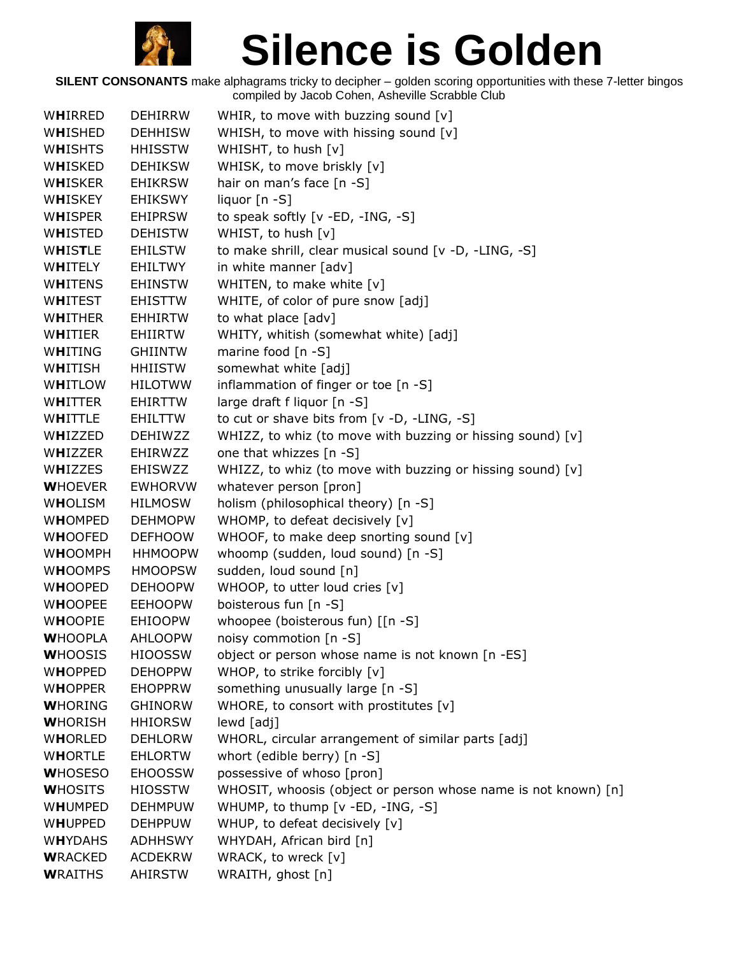

| WHIRRED          | <b>DEHIRRW</b> | WHIR, to move with buzzing sound $[v]$                         |
|------------------|----------------|----------------------------------------------------------------|
| WHISHED          | <b>DEHHISW</b> | WHISH, to move with hissing sound [v]                          |
| <b>WHISHTS</b>   | <b>HHISSTW</b> | WHISHT, to hush [v]                                            |
| WHISKED          | <b>DEHIKSW</b> | WHISK, to move briskly [v]                                     |
| WHISKER          | <b>EHIKRSW</b> | hair on man's face [n -S]                                      |
| W <b>H</b> ISKEY | <b>EHIKSWY</b> | liquor $[n-S]$                                                 |
| <b>WHISPER</b>   | <b>EHIPRSW</b> | to speak softly [v -ED, -ING, -S]                              |
| WHISTED          | <b>DEHISTW</b> | WHIST, to hush [v]                                             |
| WHISTLE          | <b>EHILSTW</b> | to make shrill, clear musical sound [v -D, -LING, -S]          |
| WHITELY          | EHILTWY        | in white manner [adv]                                          |
| <b>WHITENS</b>   | <b>EHINSTW</b> | WHITEN, to make white [v]                                      |
| <b>WHITEST</b>   | <b>EHISTTW</b> | WHITE, of color of pure snow [adj]                             |
| WHITHER          | <b>EHHIRTW</b> | to what place [adv]                                            |
| WHITIER          | EHIIRTW        | WHITY, whitish (somewhat white) [adj]                          |
| WHITING          | <b>GHIINTW</b> | marine food $[n - S]$                                          |
| WHITISH          | <b>HHIISTW</b> | somewhat white [adj]                                           |
| WHITLOW          | <b>HILOTWW</b> | inflammation of finger or toe [n -S]                           |
| WHITTER          | EHIRTTW        | large draft f liquor [n -S]                                    |
| WHITTLE          | EHILTTW        | to cut or shave bits from [v -D, -LING, -S]                    |
| WHIZZED          | <b>DEHIWZZ</b> | WHIZZ, to whiz (to move with buzzing or hissing sound) [v]     |
| WHIZZER          | EHIRWZZ        | one that whizzes [n -S]                                        |
| WHIZZES          | <b>EHISWZZ</b> | WHIZZ, to whiz (to move with buzzing or hissing sound) [v]     |
| <b>WHOEVER</b>   | <b>EWHORVW</b> | whatever person [pron]                                         |
| WHOLISM          | <b>HILMOSW</b> | holism (philosophical theory) [n -S]                           |
| <b>WHOMPED</b>   | <b>DEHMOPW</b> | WHOMP, to defeat decisively [v]                                |
| <b>WHOOFED</b>   | <b>DEFHOOW</b> | WHOOF, to make deep snorting sound [v]                         |
| <b>WHOOMPH</b>   | <b>HHMOOPW</b> | whoomp (sudden, loud sound) [n -S]                             |
| <b>WHOOMPS</b>   | <b>HMOOPSW</b> | sudden, loud sound [n]                                         |
| <b>WHOOPED</b>   | <b>DEHOOPW</b> | WHOOP, to utter loud cries [v]                                 |
| <b>WHOOPEE</b>   | <b>EEHOOPW</b> | boisterous fun [n -S]                                          |
| <b>WHOOPIE</b>   | <b>EHIOOPW</b> | whoopee (boisterous fun) [[n -S]                               |
| <b>WHOOPLA</b>   | <b>AHLOOPW</b> | noisy commotion [n -S]                                         |
| <b>WHOOSIS</b>   | <b>HIOOSSW</b> | object or person whose name is not known [n -ES]               |
| <b>WHOPPED</b>   | <b>DEHOPPW</b> | WHOP, to strike forcibly [v]                                   |
| <b>WHOPPER</b>   | <b>EHOPPRW</b> | something unusually large [n -S]                               |
| <b>WHORING</b>   | <b>GHINORW</b> | WHORE, to consort with prostitutes $[v]$                       |
| <b>WHORISH</b>   | <b>HHIORSW</b> | lewd [adj]                                                     |
| <b>WHORLED</b>   | <b>DEHLORW</b> | WHORL, circular arrangement of similar parts [adj]             |
| <b>WHORTLE</b>   | <b>EHLORTW</b> | whort (edible berry) [n -S]                                    |
| <b>WHOSESO</b>   | <b>EHOOSSW</b> | possessive of whoso [pron]                                     |
| <b>WHOSITS</b>   | <b>HIOSSTW</b> | WHOSIT, whoosis (object or person whose name is not known) [n] |
| WHUMPED          | <b>DEHMPUW</b> | WHUMP, to thump [v -ED, -ING, -S]                              |
| <b>WHUPPED</b>   | <b>DEHPPUW</b> | WHUP, to defeat decisively [v]                                 |
| <b>WHYDAHS</b>   | <b>ADHHSWY</b> | WHYDAH, African bird [n]                                       |
| <b>WRACKED</b>   | <b>ACDEKRW</b> | WRACK, to wreck [v]                                            |
| <b>WRAITHS</b>   | AHIRSTW        | WRAITH, ghost [n]                                              |